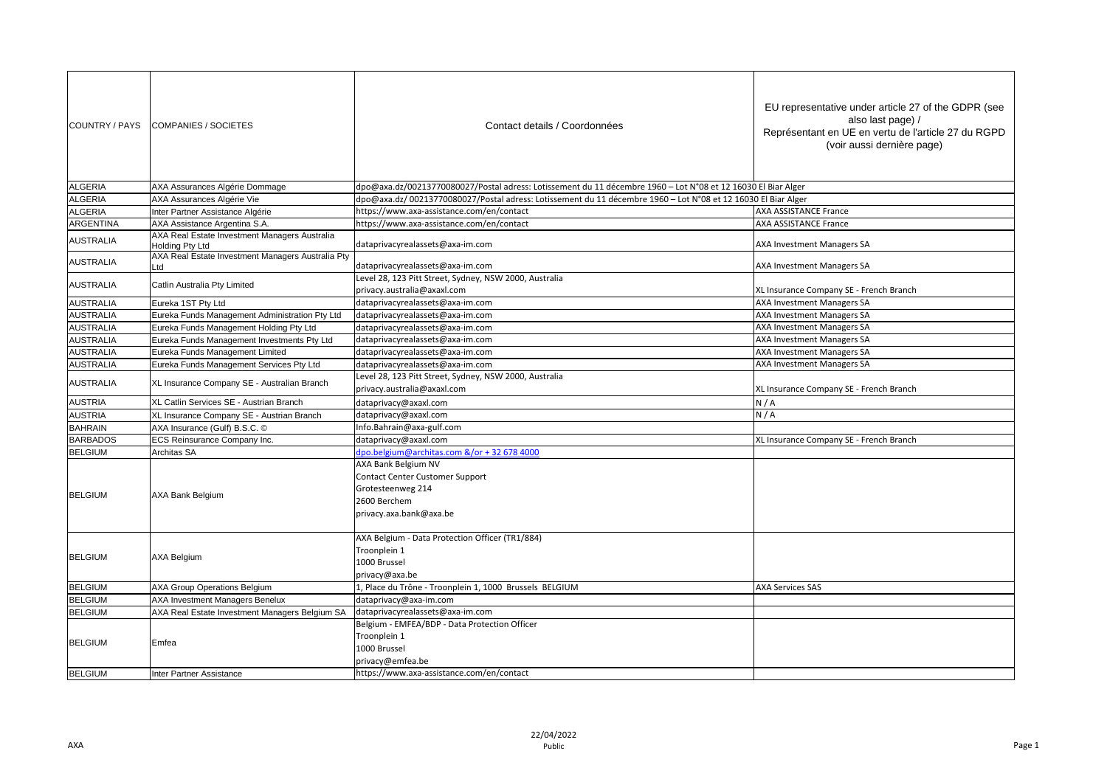| COUNTRY / PAYS   | <b>COMPANIES / SOCIETES</b>                                      | Contact details / Coordonnées                                                                                          | EU representative under article 27 of the GDPR (see<br>also last page) /<br>Représentant en UE en vertu de l'article 27 du RGPD<br>(voir aussi dernière page) |
|------------------|------------------------------------------------------------------|------------------------------------------------------------------------------------------------------------------------|---------------------------------------------------------------------------------------------------------------------------------------------------------------|
| <b>ALGERIA</b>   | AXA Assurances Algérie Dommage                                   | dpo@axa.dz/00213770080027/Postal adress: Lotissement du 11 décembre 1960 - Lot N°08 et 12 16030 El Biar Alger          |                                                                                                                                                               |
| <b>ALGERIA</b>   | AXA Assurances Algérie Vie                                       | dpo@axa.dz/ 00213770080027/Postal adress: Lotissement du 11 décembre 1960 - Lot N°08 et 12 16030 El Biar Alger         |                                                                                                                                                               |
| <b>ALGERIA</b>   | Inter Partner Assistance Algérie                                 | https://www.axa-assistance.com/en/contact                                                                              | <b>AXA ASSISTANCE France</b>                                                                                                                                  |
| <b>ARGENTINA</b> | AXA Assistance Argentina S.A.                                    | https://www.axa-assistance.com/en/contact                                                                              | <b>AXA ASSISTANCE France</b>                                                                                                                                  |
| <b>AUSTRALIA</b> | AXA Real Estate Investment Managers Australia<br>Holding Pty Ltd | dataprivacyrealassets@axa-im.com                                                                                       | <b>AXA Investment Managers SA</b>                                                                                                                             |
| <b>AUSTRALIA</b> | AXA Real Estate Investment Managers Australia Pty<br>Ltd         | dataprivacyrealassets@axa-im.com                                                                                       | AXA Investment Managers SA                                                                                                                                    |
| <b>AUSTRALIA</b> | Catlin Australia Pty Limited                                     | Level 28, 123 Pitt Street, Sydney, NSW 2000, Australia<br>privacy.australia@axaxl.com                                  | XL Insurance Company SE - French Branch                                                                                                                       |
| <b>AUSTRALIA</b> | Eureka 1ST Pty Ltd                                               | dataprivacyrealassets@axa-im.com                                                                                       | <b>AXA Investment Managers SA</b>                                                                                                                             |
| <b>AUSTRALIA</b> | Eureka Funds Management Administration Pty Ltd                   | dataprivacyrealassets@axa-im.com                                                                                       | <b>AXA Investment Managers SA</b>                                                                                                                             |
| <b>AUSTRALIA</b> | Eureka Funds Management Holding Pty Ltd                          | dataprivacyrealassets@axa-im.com                                                                                       | <b>AXA Investment Managers SA</b>                                                                                                                             |
| <b>AUSTRALIA</b> | Eureka Funds Management Investments Pty Ltd                      | dataprivacyrealassets@axa-im.com                                                                                       | <b>AXA Investment Managers SA</b>                                                                                                                             |
| <b>AUSTRALIA</b> | Eureka Funds Management Limited                                  | dataprivacyrealassets@axa-im.com                                                                                       | <b>AXA Investment Managers SA</b>                                                                                                                             |
| <b>AUSTRALIA</b> | Eureka Funds Management Services Pty Ltd                         | dataprivacyrealassets@axa-im.com                                                                                       | <b>AXA Investment Managers SA</b>                                                                                                                             |
|                  | XL Insurance Company SE - Australian Branch                      | Level 28, 123 Pitt Street, Sydney, NSW 2000, Australia                                                                 |                                                                                                                                                               |
| <b>AUSTRALIA</b> |                                                                  | privacy.australia@axaxl.com                                                                                            | XL Insurance Company SE - French Branch                                                                                                                       |
| <b>AUSTRIA</b>   | XL Catlin Services SE - Austrian Branch                          | dataprivacy@axaxl.com                                                                                                  | N/A                                                                                                                                                           |
| <b>AUSTRIA</b>   | XL Insurance Company SE - Austrian Branch                        | dataprivacy@axaxl.com                                                                                                  | N/A                                                                                                                                                           |
| <b>BAHRAIN</b>   | AXA Insurance (Gulf) B.S.C. ©                                    | Info.Bahrain@axa-gulf.com                                                                                              |                                                                                                                                                               |
| <b>BARBADOS</b>  | ECS Reinsurance Company Inc.                                     | dataprivacy@axaxl.com                                                                                                  | XL Insurance Company SE - French Branch                                                                                                                       |
| <b>BELGIUM</b>   | Architas SA                                                      | dpo.belgium@architas.com &/or + 32 678 4000                                                                            |                                                                                                                                                               |
| <b>BELGIUM</b>   | AXA Bank Belgium                                                 | AXA Bank Belgium NV<br>Contact Center Customer Support<br>Grotesteenweg 214<br>2600 Berchem<br>privacy.axa.bank@axa.be |                                                                                                                                                               |
| <b>BELGIUM</b>   | <b>AXA Belgium</b>                                               | AXA Belgium - Data Protection Officer (TR1/884)<br>Troonplein 1<br>1000 Brussel<br>privacy@axa.be                      |                                                                                                                                                               |
| <b>BELGIUM</b>   | <b>AXA Group Operations Belgium</b>                              | 1, Place du Trône - Troonplein 1, 1000 Brussels BELGIUM                                                                | <b>AXA Services SAS</b>                                                                                                                                       |
| <b>BELGIUM</b>   | AXA Investment Managers Benelux                                  | dataprivacy@axa-im.com                                                                                                 |                                                                                                                                                               |
| <b>BELGIUM</b>   | AXA Real Estate Investment Managers Belgium SA                   | dataprivacyrealassets@axa-im.com                                                                                       |                                                                                                                                                               |
|                  |                                                                  | Belgium - EMFEA/BDP - Data Protection Officer                                                                          |                                                                                                                                                               |
| <b>BELGIUM</b>   | Emfea                                                            | Troonplein 1                                                                                                           |                                                                                                                                                               |
|                  |                                                                  | 1000 Brussel                                                                                                           |                                                                                                                                                               |
|                  |                                                                  | privacy@emfea.be                                                                                                       |                                                                                                                                                               |
| <b>BELGIUM</b>   | Inter Partner Assistance                                         | https://www.axa-assistance.com/en/contact                                                                              |                                                                                                                                                               |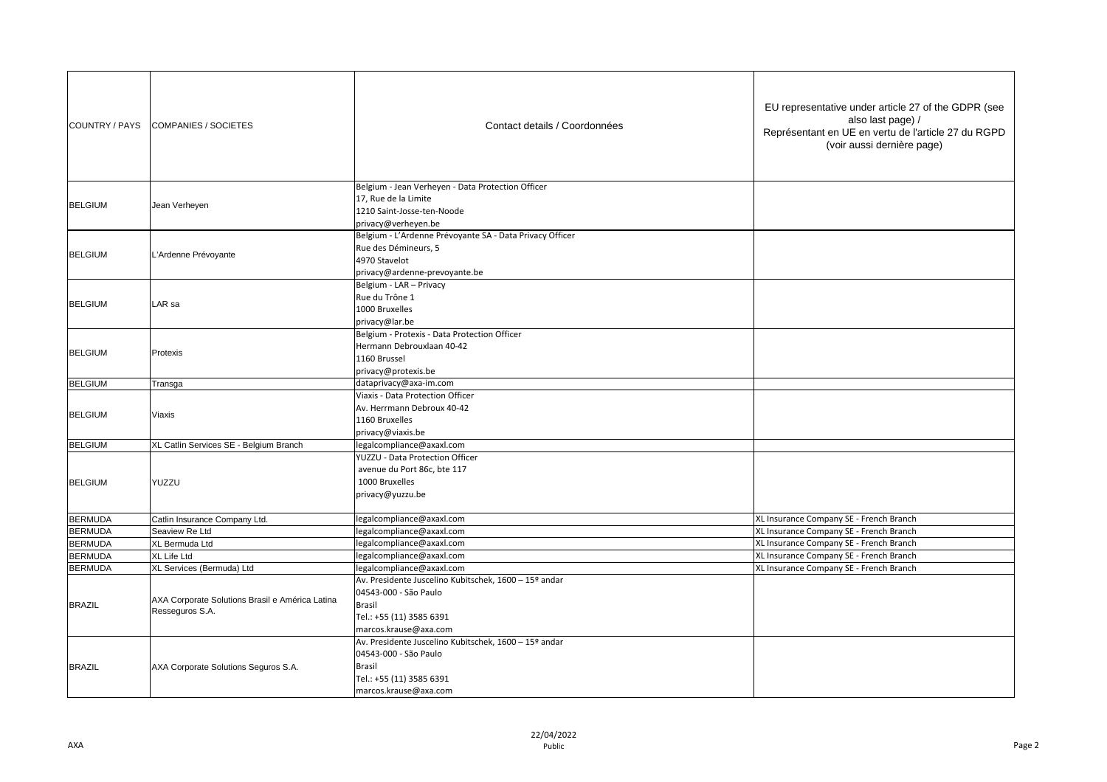| COUNTRY / PAYS | <b>COMPANIES / SOCIETES</b>                                        | Contact details / Coordonnées                                                                                                                        | EU representative under article 27 of the GDPR (see<br>also last page) /<br>Représentant en UE en vertu de l'article 27 du RGPD<br>(voir aussi dernière page) |
|----------------|--------------------------------------------------------------------|------------------------------------------------------------------------------------------------------------------------------------------------------|---------------------------------------------------------------------------------------------------------------------------------------------------------------|
| <b>BELGIUM</b> | Jean Verheyen                                                      | Belgium - Jean Verheyen - Data Protection Officer<br>17, Rue de la Limite<br>1210 Saint-Josse-ten-Noode<br>privacy@verheyen.be                       |                                                                                                                                                               |
| <b>BELGIUM</b> | L'Ardenne Prévoyante                                               | Belgium - L'Ardenne Prévoyante SA - Data Privacy Officer<br>Rue des Démineurs, 5<br>4970 Stavelot<br>privacy@ardenne-prevoyante.be                   |                                                                                                                                                               |
| <b>BELGIUM</b> | LAR sa                                                             | Belgium - LAR - Privacy<br>Rue du Trône 1<br>1000 Bruxelles<br>privacy@lar.be                                                                        |                                                                                                                                                               |
| <b>BELGIUM</b> | Protexis                                                           | Belgium - Protexis - Data Protection Officer<br>Hermann Debrouxlaan 40-42<br>1160 Brussel<br>privacy@protexis.be                                     |                                                                                                                                                               |
| <b>BELGIUM</b> | Transga                                                            | dataprivacy@axa-im.com                                                                                                                               |                                                                                                                                                               |
| <b>BELGIUM</b> | Viaxis                                                             | Viaxis - Data Protection Officer<br>Av. Herrmann Debroux 40-42<br>1160 Bruxelles<br>privacy@viaxis.be                                                |                                                                                                                                                               |
| <b>BELGIUM</b> | XL Catlin Services SE - Belgium Branch                             | legalcompliance@axaxl.com                                                                                                                            |                                                                                                                                                               |
| <b>BELGIUM</b> | YUZZU                                                              | YUZZU - Data Protection Officer<br>avenue du Port 86c, bte 117<br>1000 Bruxelles<br>privacy@yuzzu.be                                                 |                                                                                                                                                               |
| <b>BERMUDA</b> | Catlin Insurance Company Ltd.                                      | egalcompliance@axaxl.com                                                                                                                             | XL Insurance Company SE - French Branch                                                                                                                       |
| <b>BERMUDA</b> | Seaview Re Ltd                                                     | egalcompliance@axaxl.com                                                                                                                             | XL Insurance Company SE - French Branch                                                                                                                       |
| <b>BERMUDA</b> | XL Bermuda Ltd                                                     | egalcompliance@axaxl.com                                                                                                                             | XL Insurance Company SE - French Branch                                                                                                                       |
| <b>BERMUDA</b> | XL Life Ltd                                                        | egalcompliance@axaxl.com                                                                                                                             | XL Insurance Company SE - French Branch                                                                                                                       |
| <b>BERMUDA</b> | XL Services (Bermuda) Ltd                                          | egalcompliance@axaxl.com                                                                                                                             | XL Insurance Company SE - French Branch                                                                                                                       |
| <b>BRAZIL</b>  | AXA Corporate Solutions Brasil e América Latina<br>Resseguros S.A. | Av. Presidente Juscelino Kubitschek, 1600 - 15º andar<br>04543-000 - São Paulo<br><b>Brasil</b><br>Tel.: +55 (11) 3585 6391<br>marcos.krause@axa.com |                                                                                                                                                               |
| <b>BRAZIL</b>  | AXA Corporate Solutions Seguros S.A.                               | Av. Presidente Juscelino Kubitschek, 1600 - 15º andar<br>04543-000 - São Paulo<br>Brasil<br>Tel.: +55 (11) 3585 6391<br>marcos.krause@axa.com        |                                                                                                                                                               |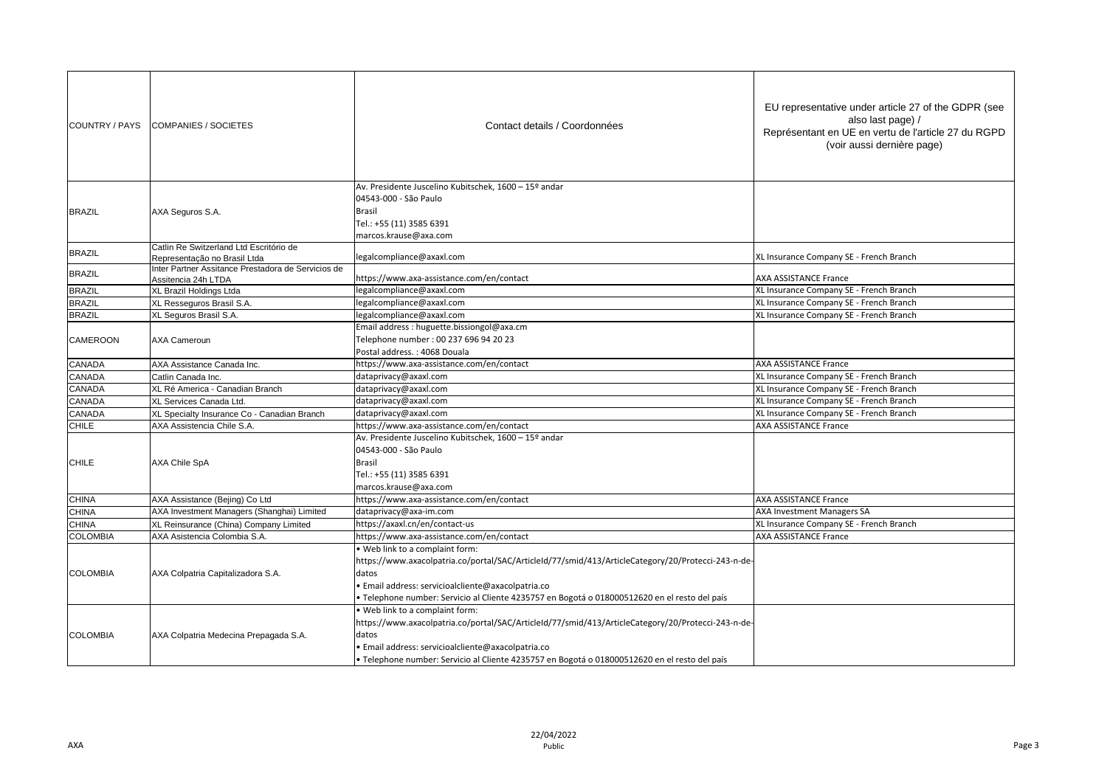| COUNTRY / PAYS  | COMPANIES / SOCIETES                                                    | Contact details / Coordonnées                                                                                                                                                                                                                                                                       | EU representative under article 27 of the GDPR (see<br>also last page) /<br>Représentant en UE en vertu de l'article 27 du RGPD<br>(voir aussi dernière page) |
|-----------------|-------------------------------------------------------------------------|-----------------------------------------------------------------------------------------------------------------------------------------------------------------------------------------------------------------------------------------------------------------------------------------------------|---------------------------------------------------------------------------------------------------------------------------------------------------------------|
| <b>BRAZIL</b>   | AXA Seguros S.A.                                                        | Av. Presidente Juscelino Kubitschek, 1600 - 15º andar<br>04543-000 - São Paulo<br><b>Brasil</b><br>Tel.: +55 (11) 3585 6391<br>marcos.krause@axa.com                                                                                                                                                |                                                                                                                                                               |
| <b>BRAZIL</b>   | Catlin Re Switzerland Ltd Escritório de<br>Representação no Brasil Ltda | legalcompliance@axaxl.com                                                                                                                                                                                                                                                                           | XL Insurance Company SE - French Branch                                                                                                                       |
| <b>BRAZIL</b>   | Inter Partner Assitance Prestadora de Servicios de                      |                                                                                                                                                                                                                                                                                                     |                                                                                                                                                               |
| <b>BRAZIL</b>   | Assitencia 24h LTDA                                                     | https://www.axa-assistance.com/en/contact<br>legalcompliance@axaxl.com                                                                                                                                                                                                                              | <b>AXA ASSISTANCE France</b><br>XL Insurance Company SE - French Branch                                                                                       |
| <b>BRAZIL</b>   | XL Brazil Holdings Ltda<br>XL Resseguros Brasil S.A.                    | egalcompliance@axaxl.com                                                                                                                                                                                                                                                                            | XL Insurance Company SE - French Branch                                                                                                                       |
| <b>BRAZIL</b>   | XL Seguros Brasil S.A.                                                  | legalcompliance@axaxl.com                                                                                                                                                                                                                                                                           | XL Insurance Company SE - French Branch                                                                                                                       |
| CAMEROON        | <b>AXA Cameroun</b>                                                     | Email address : huguette.bissiongol@axa.cm<br>Telephone number: 00 237 696 94 20 23<br>Postal address.: 4068 Douala                                                                                                                                                                                 |                                                                                                                                                               |
| CANADA          | AXA Assistance Canada Inc.                                              | https://www.axa-assistance.com/en/contact                                                                                                                                                                                                                                                           | <b>AXA ASSISTANCE France</b>                                                                                                                                  |
| CANADA          | Catlin Canada Inc.                                                      | dataprivacy@axaxl.com                                                                                                                                                                                                                                                                               | XL Insurance Company SE - French Branch                                                                                                                       |
| CANADA          | XL Ré America - Canadian Branch                                         | dataprivacy@axaxl.com                                                                                                                                                                                                                                                                               | XL Insurance Company SE - French Branch                                                                                                                       |
| CANADA          | XL Services Canada Ltd.                                                 | dataprivacy@axaxl.com                                                                                                                                                                                                                                                                               | XL Insurance Company SE - French Branch                                                                                                                       |
| CANADA          | XL Specialty Insurance Co - Canadian Branch                             | dataprivacy@axaxl.com                                                                                                                                                                                                                                                                               | XL Insurance Company SE - French Branch                                                                                                                       |
| CHILE           | AXA Assistencia Chile S.A.                                              | https://www.axa-assistance.com/en/contact                                                                                                                                                                                                                                                           | <b>AXA ASSISTANCE France</b>                                                                                                                                  |
| <b>CHILE</b>    | <b>AXA Chile SpA</b>                                                    | Av. Presidente Juscelino Kubitschek, 1600 - 15º andar<br>04543-000 - São Paulo<br><b>Brasil</b><br>Tel.: +55 (11) 3585 6391<br>marcos.krause@axa.com                                                                                                                                                |                                                                                                                                                               |
| <b>CHINA</b>    | AXA Assistance (Bejing) Co Ltd                                          | https://www.axa-assistance.com/en/contact                                                                                                                                                                                                                                                           | <b>AXA ASSISTANCE France</b>                                                                                                                                  |
| <b>CHINA</b>    | AXA Investment Managers (Shanghai) Limited                              | dataprivacy@axa-im.com                                                                                                                                                                                                                                                                              | <b>AXA Investment Managers SA</b>                                                                                                                             |
| <b>CHINA</b>    | XL Reinsurance (China) Company Limited                                  | https://axaxl.cn/en/contact-us                                                                                                                                                                                                                                                                      | XL Insurance Company SE - French Branch                                                                                                                       |
| <b>COLOMBIA</b> | AXA Asistencia Colombia S.A.                                            | https://www.axa-assistance.com/en/contact                                                                                                                                                                                                                                                           | <b>AXA ASSISTANCE France</b>                                                                                                                                  |
| <b>COLOMBIA</b> | AXA Colpatria Capitalizadora S.A.                                       | Web link to a complaint form:<br>https://www.axacolpatria.co/portal/SAC/ArticleId/77/smid/413/ArticleCategory/20/Protecci-243-n-de-<br>datos<br>· Email address: servicioalcliente@axacolpatria.co<br>Telephone number: Servicio al Cliente 4235757 en Bogotá o 018000512620 en el resto del país   |                                                                                                                                                               |
| <b>COLOMBIA</b> | AXA Colpatria Medecina Prepagada S.A.                                   | Web link to a complaint form:<br>https://www.axacolpatria.co/portal/SAC/ArticleId/77/smid/413/ArticleCategory/20/Protecci-243-n-de-<br>datos<br>· Email address: servicioalcliente@axacolpatria.co<br>· Telephone number: Servicio al Cliente 4235757 en Bogotá o 018000512620 en el resto del país |                                                                                                                                                               |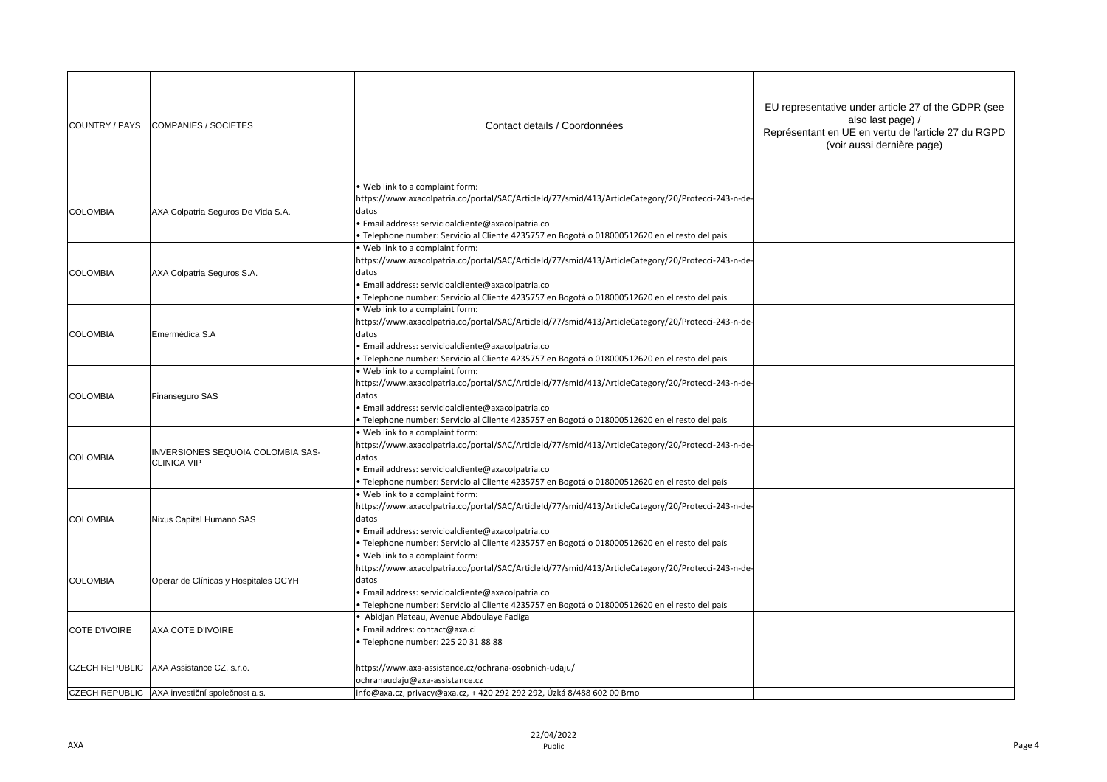| COUNTRY / PAYS        | <b>COMPANIES / SOCIETES</b>                             | Contact details / Coordonnées                                                                                                                                                                                                                                                                         | EU representative under article 27 of the GDPR (see<br>also last page) /<br>Représentant en UE en vertu de l'article 27 du RGPD<br>(voir aussi dernière page) |
|-----------------------|---------------------------------------------------------|-------------------------------------------------------------------------------------------------------------------------------------------------------------------------------------------------------------------------------------------------------------------------------------------------------|---------------------------------------------------------------------------------------------------------------------------------------------------------------|
| <b>COLOMBIA</b>       | AXA Colpatria Seguros De Vida S.A.                      | Web link to a complaint form:<br>https://www.axacolpatria.co/portal/SAC/ArticleId/77/smid/413/ArticleCategory/20/Protecci-243-n-de-<br>datos<br>· Email address: servicioalcliente@axacolpatria.co<br>· Telephone number: Servicio al Cliente 4235757 en Bogotá o 018000512620 en el resto del país   |                                                                                                                                                               |
| <b>COLOMBIA</b>       | AXA Colpatria Seguros S.A.                              | . Web link to a complaint form:<br>https://www.axacolpatria.co/portal/SAC/ArticleId/77/smid/413/ArticleCategory/20/Protecci-243-n-de-<br>datos<br>· Email address: servicioalcliente@axacolpatria.co<br>· Telephone number: Servicio al Cliente 4235757 en Bogotá o 018000512620 en el resto del país |                                                                                                                                                               |
| <b>COLOMBIA</b>       | Emermédica S.A                                          | . Web link to a complaint form:<br>https://www.axacolpatria.co/portal/SAC/ArticleId/77/smid/413/ArticleCategory/20/Protecci-243-n-de-<br>datos<br>Email address: servicioalcliente@axacolpatria.co<br>· Telephone number: Servicio al Cliente 4235757 en Bogotá o 018000512620 en el resto del país   |                                                                                                                                                               |
| <b>COLOMBIA</b>       | Finanseguro SAS                                         | Web link to a complaint form:<br>https://www.axacolpatria.co/portal/SAC/ArticleId/77/smid/413/ArticleCategory/20/Protecci-243-n-de-<br>datos<br>· Email address: servicioalcliente@axacolpatria.co<br>· Telephone number: Servicio al Cliente 4235757 en Bogotá o 018000512620 en el resto del país   |                                                                                                                                                               |
| <b>COLOMBIA</b>       | INVERSIONES SEQUOIA COLOMBIA SAS-<br><b>CLINICA VIP</b> | . Web link to a complaint form:<br>https://www.axacolpatria.co/portal/SAC/ArticleId/77/smid/413/ArticleCategory/20/Protecci-243-n-de-<br>datos<br>· Email address: servicioalcliente@axacolpatria.co<br>· Telephone number: Servicio al Cliente 4235757 en Bogotá o 018000512620 en el resto del país |                                                                                                                                                               |
| <b>COLOMBIA</b>       | Nixus Capital Humano SAS                                | Web link to a complaint form:<br>https://www.axacolpatria.co/portal/SAC/ArticleId/77/smid/413/ArticleCategory/20/Protecci-243-n-de-<br>datos<br>· Email address: servicioalcliente@axacolpatria.co<br>· Telephone number: Servicio al Cliente 4235757 en Bogotá o 018000512620 en el resto del país   |                                                                                                                                                               |
| <b>COLOMBIA</b>       | Operar de Clínicas y Hospitales OCYH                    | . Web link to a complaint form:<br>https://www.axacolpatria.co/portal/SAC/ArticleId/77/smid/413/ArticleCategory/20/Protecci-243-n-de-<br>datos<br>· Email address: servicioalcliente@axacolpatria.co<br>· Telephone number: Servicio al Cliente 4235757 en Bogotá o 018000512620 en el resto del país |                                                                                                                                                               |
| <b>COTE D'IVOIRE</b>  | AXA COTE D'IVOIRE                                       | · Abidjan Plateau, Avenue Abdoulaye Fadiga<br>· Email addres: contact@axa.ci<br>Telephone number: 225 20 31 88 88                                                                                                                                                                                     |                                                                                                                                                               |
| <b>CZECH REPUBLIC</b> | AXA Assistance CZ, s.r.o.                               | https://www.axa-assistance.cz/ochrana-osobnich-udaju/<br>ochranaudaju@axa-assistance.cz                                                                                                                                                                                                               |                                                                                                                                                               |
|                       | CZECH REPUBLIC AXA investiční společnost a.s.           | info@axa.cz, privacy@axa.cz, +420 292 292 292, Úzká 8/488 602 00 Brno                                                                                                                                                                                                                                 |                                                                                                                                                               |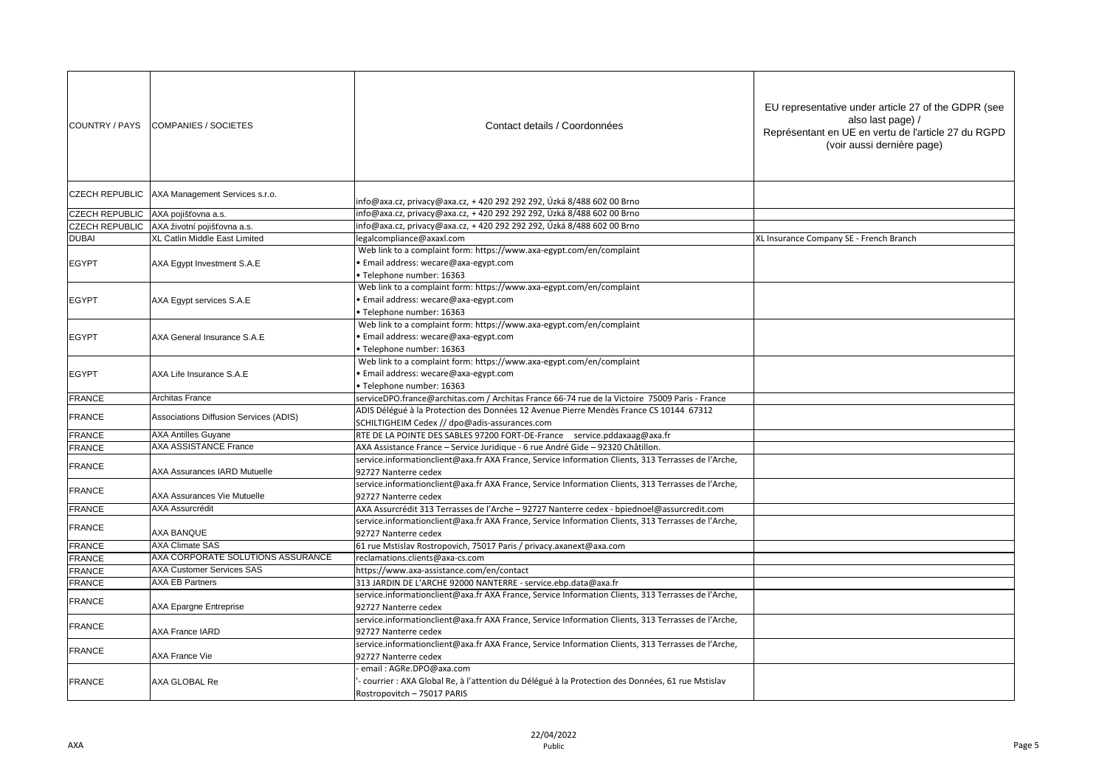| COUNTRY / PAYS        | <b>COMPANIES / SOCIETES</b>                   | Contact details / Coordonnées                                                                                                                             | EU representative under article 27 of the GDPR (see<br>also last page) /<br>Représentant en UE en vertu de l'article 27 du RGPD<br>(voir aussi dernière page) |
|-----------------------|-----------------------------------------------|-----------------------------------------------------------------------------------------------------------------------------------------------------------|---------------------------------------------------------------------------------------------------------------------------------------------------------------|
| <b>CZECH REPUBLIC</b> | AXA Management Services s.r.o.                | info@axa.cz, privacy@axa.cz, + 420 292 292 292, Úzká 8/488 602 00 Brno                                                                                    |                                                                                                                                                               |
| <b>CZECH REPUBLIC</b> | AXA pojišťovna a.s.                           | info@axa.cz, privacy@axa.cz, + 420 292 292 292, Úzká 8/488 602 00 Brno                                                                                    |                                                                                                                                                               |
| <b>CZECH REPUBLIC</b> | AXA životní pojišťovna a.s.                   | info@axa.cz, privacy@axa.cz, +420 292 292 292, Úzká 8/488 602 00 Brno                                                                                     |                                                                                                                                                               |
| <b>DUBAI</b>          | XL Catlin Middle East Limited                 | egalcompliance@axaxl.com                                                                                                                                  | XL Insurance Company SE - French Branch                                                                                                                       |
| <b>EGYPT</b>          | AXA Egypt Investment S.A.E                    | Web link to a complaint form: https://www.axa-egypt.com/en/complaint<br>Email address: wecare@axa-egypt.com<br>Telephone number: 16363                    |                                                                                                                                                               |
| <b>EGYPT</b>          | AXA Egypt services S.A.E                      | Web link to a complaint form: https://www.axa-egypt.com/en/complaint<br>Email address: wecare@axa-egypt.com<br>Telephone number: 16363                    |                                                                                                                                                               |
| <b>EGYPT</b>          | AXA General Insurance S.A.E                   | Web link to a complaint form: https://www.axa-egypt.com/en/complaint<br>Email address: wecare@axa-egypt.com<br>Telephone number: 16363                    |                                                                                                                                                               |
| <b>EGYPT</b>          | AXA Life Insurance S.A.E                      | Web link to a complaint form: https://www.axa-egypt.com/en/complaint<br>Email address: wecare@axa-egypt.com<br>Telephone number: 16363                    |                                                                                                                                                               |
| <b>FRANCE</b>         | Architas France                               | serviceDPO.france@architas.com / Architas France 66-74 rue de la Victoire 75009 Paris - France                                                            |                                                                                                                                                               |
| <b>FRANCE</b>         | <b>Associations Diffusion Services (ADIS)</b> | ADIS Délégué à la Protection des Données 12 Avenue Pierre Mendès France CS 10144 67312<br>SCHILTIGHEIM Cedex // dpo@adis-assurances.com                   |                                                                                                                                                               |
| <b>FRANCE</b>         | <b>AXA Antilles Guyane</b>                    | RTE DE LA POINTE DES SABLES 97200 FORT-DE-France service.pddaxaag@axa.fr                                                                                  |                                                                                                                                                               |
| <b>FRANCE</b>         | <b>AXA ASSISTANCE France</b>                  | AXA Assistance France - Service Juridique - 6 rue André Gide - 92320 Châtillon.                                                                           |                                                                                                                                                               |
| <b>FRANCE</b>         | AXA Assurances IARD Mutuelle                  | service.informationclient@axa.fr AXA France, Service Information Clients, 313 Terrasses de l'Arche,<br>92727 Nanterre cedex                               |                                                                                                                                                               |
| <b>FRANCE</b>         | <b>AXA Assurances Vie Mutuelle</b>            | service.informationclient@axa.fr AXA France, Service Information Clients, 313 Terrasses de l'Arche,<br>92727 Nanterre cedex                               |                                                                                                                                                               |
| <b>FRANCE</b>         | <b>AXA Assurcrédit</b>                        | AXA Assurcrédit 313 Terrasses de l'Arche - 92727 Nanterre cedex - bpiednoel@assurcredit.com                                                               |                                                                                                                                                               |
| <b>FRANCE</b>         | AXA BANQUE                                    | service.informationclient@axa.fr AXA France, Service Information Clients, 313 Terrasses de l'Arche,<br>92727 Nanterre cedex                               |                                                                                                                                                               |
| <b>FRANCE</b>         | <b>AXA Climate SAS</b>                        | 61 rue Mstislav Rostropovich, 75017 Paris / privacy.axanext@axa.com                                                                                       |                                                                                                                                                               |
| <b>FRANCE</b>         | AXA CORPORATE SOLUTIONS ASSURANCE             | reclamations.clients@axa-cs.com                                                                                                                           |                                                                                                                                                               |
| <b>FRANCE</b>         | <b>AXA Customer Services SAS</b>              | https://www.axa-assistance.com/en/contact                                                                                                                 |                                                                                                                                                               |
| <b>FRANCE</b>         | <b>AXA EB Partners</b>                        | 313 JARDIN DE L'ARCHE 92000 NANTERRE - service.ebp.data@axa.fr                                                                                            |                                                                                                                                                               |
| <b>FRANCE</b>         | <b>AXA Epargne Entreprise</b>                 | service.informationclient@axa.fr AXA France, Service Information Clients, 313 Terrasses de l'Arche,<br>92727 Nanterre cedex                               |                                                                                                                                                               |
| <b>FRANCE</b>         | AXA France IARD                               | service.informationclient@axa.fr AXA France, Service Information Clients, 313 Terrasses de l'Arche,<br>92727 Nanterre cedex                               |                                                                                                                                                               |
| <b>FRANCE</b>         | AXA France Vie                                | service.informationclient@axa.fr AXA France, Service Information Clients, 313 Terrasses de l'Arche,<br>92727 Nanterre cedex                               |                                                                                                                                                               |
| <b>FRANCE</b>         | AXA GLOBAL Re                                 | email: AGRe.DPO@axa.com<br>courrier : AXA Global Re, à l'attention du Délégué à la Protection des Données, 61 rue Mstislav<br>Rostropovitch - 75017 PARIS |                                                                                                                                                               |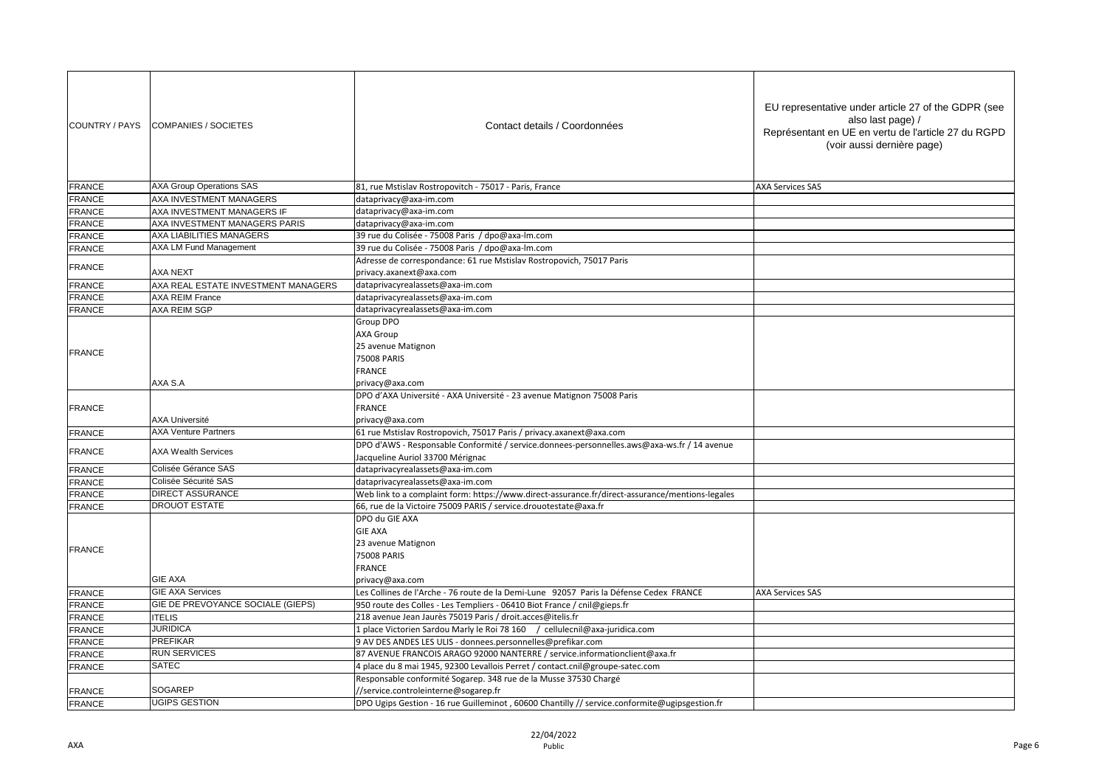| COUNTRY / PAYS | COMPANIES / SOCIETES                | Contact details / Coordonnées                                                                                                   | EU representative under article 27 of the GDPR (see<br>also last page) /<br>Représentant en UE en vertu de l'article 27 du RGPD<br>(voir aussi dernière page) |
|----------------|-------------------------------------|---------------------------------------------------------------------------------------------------------------------------------|---------------------------------------------------------------------------------------------------------------------------------------------------------------|
| <b>FRANCE</b>  | <b>AXA Group Operations SAS</b>     | 81, rue Mstislav Rostropovitch - 75017 - Paris, France                                                                          | <b>AXA Services SAS</b>                                                                                                                                       |
| <b>FRANCE</b>  | AXA INVESTMENT MANAGERS             | dataprivacy@axa-im.com                                                                                                          |                                                                                                                                                               |
| <b>FRANCE</b>  | AXA INVESTMENT MANAGERS IF          | dataprivacy@axa-im.com                                                                                                          |                                                                                                                                                               |
| <b>FRANCE</b>  | AXA INVESTMENT MANAGERS PARIS       | dataprivacy@axa-im.com                                                                                                          |                                                                                                                                                               |
| <b>FRANCE</b>  | AXA LIABILITIES MANAGERS            | 39 rue du Colisée - 75008 Paris / dpo@axa-lm.com                                                                                |                                                                                                                                                               |
| <b>FRANCE</b>  | AXA LM Fund Management              | 39 rue du Colisée - 75008 Paris / dpo@axa-lm.com                                                                                |                                                                                                                                                               |
|                |                                     | Adresse de correspondance: 61 rue Mstislav Rostropovich, 75017 Paris                                                            |                                                                                                                                                               |
| <b>FRANCE</b>  | <b>AXA NEXT</b>                     | privacy.axanext@axa.com                                                                                                         |                                                                                                                                                               |
| <b>FRANCE</b>  | AXA REAL ESTATE INVESTMENT MANAGERS | dataprivacyrealassets@axa-im.com                                                                                                |                                                                                                                                                               |
| <b>FRANCE</b>  | <b>AXA REIM France</b>              | dataprivacyrealassets@axa-im.com                                                                                                |                                                                                                                                                               |
| <b>FRANCE</b>  | AXA REIM SGP                        | dataprivacyrealassets@axa-im.com                                                                                                |                                                                                                                                                               |
| <b>FRANCE</b>  |                                     | Group DPO<br><b>AXA Group</b><br>25 avenue Matignon<br>75008 PARIS<br><b>FRANCE</b>                                             |                                                                                                                                                               |
|                | AXA S.A                             | privacy@axa.com                                                                                                                 |                                                                                                                                                               |
| <b>FRANCE</b>  | <b>AXA Université</b>               | DPO d'AXA Université - AXA Université - 23 avenue Matignon 75008 Paris<br><b>FRANCE</b><br>privacy@axa.com                      |                                                                                                                                                               |
| <b>FRANCE</b>  | <b>AXA Venture Partners</b>         | 61 rue Mstislav Rostropovich, 75017 Paris / privacy.axanext@axa.com                                                             |                                                                                                                                                               |
| <b>FRANCE</b>  | <b>AXA Wealth Services</b>          | DPO d'AWS - Responsable Conformité / service.donnees-personnelles.aws@axa-ws.fr / 14 avenue<br>Jacqueline Auriol 33700 Mérignac |                                                                                                                                                               |
| <b>FRANCE</b>  | Colisée Gérance SAS                 | dataprivacyrealassets@axa-im.com                                                                                                |                                                                                                                                                               |
| <b>FRANCE</b>  | Colisée Sécurité SAS                | dataprivacyrealassets@axa-im.com                                                                                                |                                                                                                                                                               |
| <b>FRANCE</b>  | <b>DIRECT ASSURANCE</b>             | Web link to a complaint form: https://www.direct-assurance.fr/direct-assurance/mentions-legales                                 |                                                                                                                                                               |
| <b>FRANCE</b>  | <b>DROUOT ESTATE</b>                | 66, rue de la Victoire 75009 PARIS / service.drouotestate@axa.fr                                                                |                                                                                                                                                               |
| <b>FRANCE</b>  | <b>GIE AXA</b>                      | DPO du GIE AXA<br><b>GIE AXA</b><br>23 avenue Matignon<br>75008 PARIS<br><b>FRANCE</b><br>privacy@axa.com                       |                                                                                                                                                               |
| <b>FRANCE</b>  | <b>GIE AXA Services</b>             | Les Collines de l'Arche - 76 route de la Demi-Lune 92057 Paris la Défense Cedex FRANCE                                          | <b>AXA Services SAS</b>                                                                                                                                       |
| <b>FRANCE</b>  | GIE DE PREVOYANCE SOCIALE (GIEPS)   | 950 route des Colles - Les Templiers - 06410 Biot France / cnil@gieps.fr                                                        |                                                                                                                                                               |
| <b>FRANCE</b>  | <b>ITELIS</b>                       | 218 avenue Jean Jaurès 75019 Paris / droit.acces@itelis.fr                                                                      |                                                                                                                                                               |
| <b>FRANCE</b>  | <b>JURIDICA</b>                     | 1 place Victorien Sardou Marly le Roi 78 160 / cellulecnil@axa-juridica.com                                                     |                                                                                                                                                               |
| <b>FRANCE</b>  | <b>PREFIKAR</b>                     | 9 AV DES ANDES LES ULIS - donnees.personnelles@prefikar.com                                                                     |                                                                                                                                                               |
| <b>FRANCE</b>  | <b>RUN SERVICES</b>                 | 87 AVENUE FRANCOIS ARAGO 92000 NANTERRE / service.informationclient@axa.fr                                                      |                                                                                                                                                               |
| <b>FRANCE</b>  | <b>SATEC</b>                        | 4 place du 8 mai 1945, 92300 Levallois Perret / contact.cnil@groupe-satec.com                                                   |                                                                                                                                                               |
|                |                                     | Responsable conformité Sogarep. 348 rue de la Musse 37530 Chargé                                                                |                                                                                                                                                               |
| <b>FRANCE</b>  | <b>SOGAREP</b>                      | //service.controleinterne@sogarep.fr                                                                                            |                                                                                                                                                               |
| <b>FRANCE</b>  | <b>UGIPS GESTION</b>                | DPO Ugips Gestion - 16 rue Guilleminot, 60600 Chantilly // service.conformite@ugipsgestion.fr                                   |                                                                                                                                                               |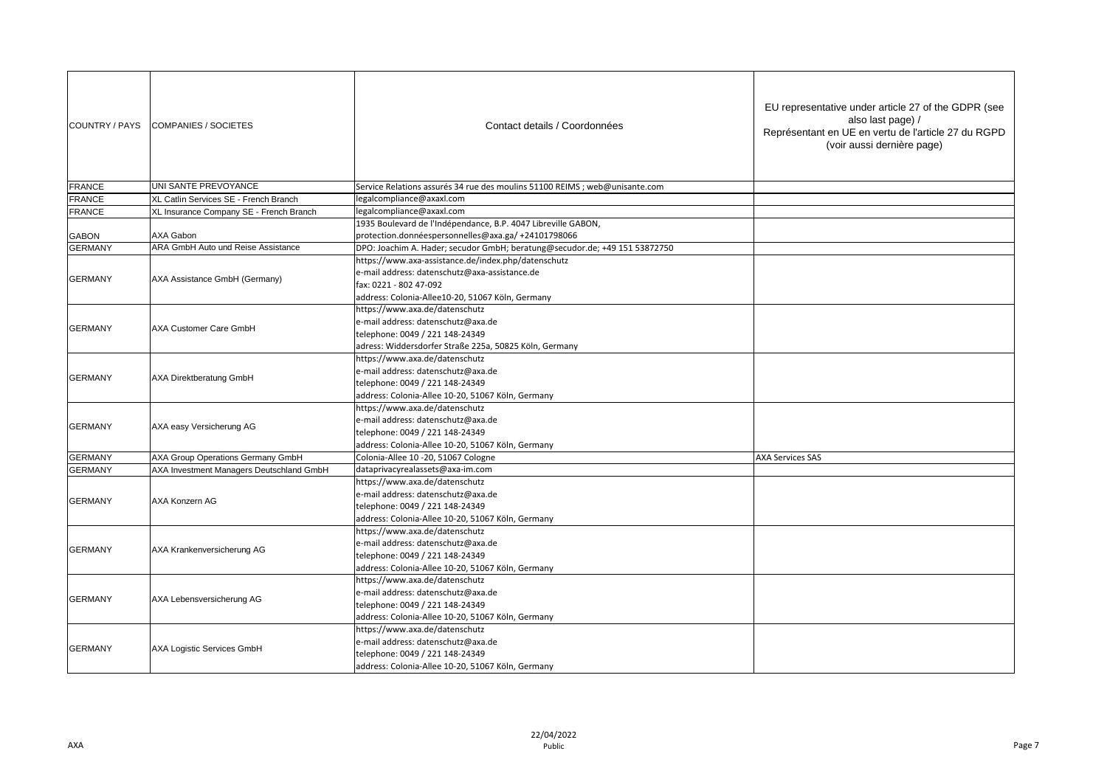| COUNTRY / PAYS | <b>COMPANIES / SOCIETES</b>              | Contact details / Coordonnées                                               | EU representative under article 27 of the GDPR (see<br>also last page) /<br>Représentant en UE en vertu de l'article 27 du RGPD<br>(voir aussi dernière page) |
|----------------|------------------------------------------|-----------------------------------------------------------------------------|---------------------------------------------------------------------------------------------------------------------------------------------------------------|
| <b>FRANCE</b>  | UNI SANTE PREVOYANCE                     | Service Relations assurés 34 rue des moulins 51100 REIMS ; web@unisante.com |                                                                                                                                                               |
| <b>FRANCE</b>  | XL Catlin Services SE - French Branch    | egalcompliance@axaxl.com                                                    |                                                                                                                                                               |
| <b>FRANCE</b>  | XL Insurance Company SE - French Branch  | legalcompliance@axaxl.com                                                   |                                                                                                                                                               |
|                |                                          | 1935 Boulevard de l'Indépendance, B.P. 4047 Libreville GABON,               |                                                                                                                                                               |
| <b>GABON</b>   | AXA Gabon                                | protection.donnéespersonnelles@axa.ga/ +24101798066                         |                                                                                                                                                               |
| <b>GERMANY</b> | ARA GmbH Auto und Reise Assistance       | DPO: Joachim A. Hader; secudor GmbH; beratung@secudor.de; +49 151 53872750  |                                                                                                                                                               |
|                |                                          | https://www.axa-assistance.de/index.php/datenschutz                         |                                                                                                                                                               |
| <b>GERMANY</b> | AXA Assistance GmbH (Germany)            | e-mail address: datenschutz@axa-assistance.de                               |                                                                                                                                                               |
|                |                                          | fax: 0221 - 802 47-092                                                      |                                                                                                                                                               |
|                |                                          | address: Colonia-Allee10-20, 51067 Köln, Germany                            |                                                                                                                                                               |
|                |                                          | https://www.axa.de/datenschutz                                              |                                                                                                                                                               |
| <b>GERMANY</b> | <b>AXA Customer Care GmbH</b>            | e-mail address: datenschutz@axa.de                                          |                                                                                                                                                               |
|                |                                          | telephone: 0049 / 221 148-24349                                             |                                                                                                                                                               |
|                |                                          | adress: Widdersdorfer Straße 225a, 50825 Köln, Germany                      |                                                                                                                                                               |
|                | <b>AXA Direktberatung GmbH</b>           | https://www.axa.de/datenschutz<br>e-mail address: datenschutz@axa.de        |                                                                                                                                                               |
| <b>GERMANY</b> |                                          | telephone: 0049 / 221 148-24349                                             |                                                                                                                                                               |
|                |                                          | address: Colonia-Allee 10-20, 51067 Köln, Germany                           |                                                                                                                                                               |
|                |                                          | https://www.axa.de/datenschutz                                              |                                                                                                                                                               |
|                |                                          | e-mail address: datenschutz@axa.de                                          |                                                                                                                                                               |
| <b>GERMANY</b> | AXA easy Versicherung AG                 | telephone: 0049 / 221 148-24349                                             |                                                                                                                                                               |
|                |                                          | address: Colonia-Allee 10-20, 51067 Köln, Germany                           |                                                                                                                                                               |
| <b>GERMANY</b> | AXA Group Operations Germany GmbH        | Colonia-Allee 10 -20, 51067 Cologne                                         | <b>AXA Services SAS</b>                                                                                                                                       |
| <b>GERMANY</b> | AXA Investment Managers Deutschland GmbH | dataprivacyrealassets@axa-im.com                                            |                                                                                                                                                               |
|                |                                          | https://www.axa.de/datenschutz                                              |                                                                                                                                                               |
|                | AXA Konzern AG                           | e-mail address: datenschutz@axa.de                                          |                                                                                                                                                               |
| <b>GERMANY</b> |                                          | telephone: 0049 / 221 148-24349                                             |                                                                                                                                                               |
|                |                                          | address: Colonia-Allee 10-20, 51067 Köln, Germany                           |                                                                                                                                                               |
|                |                                          | https://www.axa.de/datenschutz                                              |                                                                                                                                                               |
| <b>GERMANY</b> | AXA Krankenversicherung AG               | e-mail address: datenschutz@axa.de                                          |                                                                                                                                                               |
|                |                                          | telephone: 0049 / 221 148-24349                                             |                                                                                                                                                               |
|                |                                          | address: Colonia-Allee 10-20, 51067 Köln, Germany                           |                                                                                                                                                               |
| <b>GERMANY</b> |                                          | https://www.axa.de/datenschutz                                              |                                                                                                                                                               |
|                | AXA Lebensversicherung AG                | e-mail address: datenschutz@axa.de                                          |                                                                                                                                                               |
|                |                                          | telephone: 0049 / 221 148-24349                                             |                                                                                                                                                               |
|                |                                          | address: Colonia-Allee 10-20, 51067 Köln, Germany                           |                                                                                                                                                               |
|                |                                          | https://www.axa.de/datenschutz                                              |                                                                                                                                                               |
| <b>GERMANY</b> | AXA Logistic Services GmbH               | e-mail address: datenschutz@axa.de                                          |                                                                                                                                                               |
|                |                                          | telephone: 0049 / 221 148-24349                                             |                                                                                                                                                               |
|                |                                          | address: Colonia-Allee 10-20, 51067 Köln, Germany                           |                                                                                                                                                               |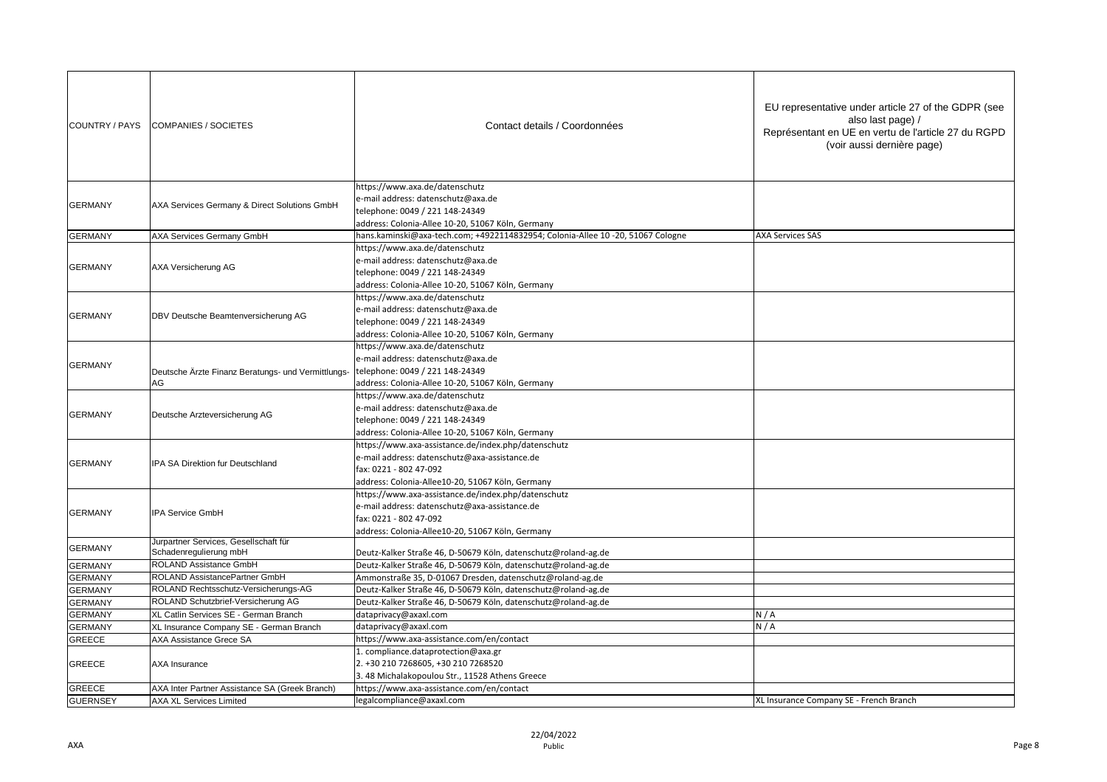| COUNTRY / PAYS  | <b>COMPANIES / SOCIETES</b>                                     | Contact details / Coordonnées                                                                                                                                                      | EU representative under article 27 of the GDPR (see<br>also last page) /<br>Représentant en UE en vertu de l'article 27 du RGPD<br>(voir aussi dernière page) |
|-----------------|-----------------------------------------------------------------|------------------------------------------------------------------------------------------------------------------------------------------------------------------------------------|---------------------------------------------------------------------------------------------------------------------------------------------------------------|
| <b>GERMANY</b>  | AXA Services Germany & Direct Solutions GmbH                    | https://www.axa.de/datenschutz<br>e-mail address: datenschutz@axa.de<br>telephone: 0049 / 221 148-24349<br>address: Colonia-Allee 10-20, 51067 Köln, Germany                       |                                                                                                                                                               |
| <b>GERMANY</b>  | <b>AXA Services Germany GmbH</b>                                | hans.kaminski@axa-tech.com; +4922114832954; Colonia-Allee 10 -20, 51067 Cologne                                                                                                    | <b>AXA Services SAS</b>                                                                                                                                       |
| <b>GERMANY</b>  | AXA Versicherung AG                                             | https://www.axa.de/datenschutz<br>e-mail address: datenschutz@axa.de<br>telephone: 0049 / 221 148-24349<br>address: Colonia-Allee 10-20, 51067 Köln, Germany                       |                                                                                                                                                               |
| <b>GERMANY</b>  | DBV Deutsche Beamtenversicherung AG                             | https://www.axa.de/datenschutz<br>e-mail address: datenschutz@axa.de<br>telephone: 0049 / 221 148-24349<br>address: Colonia-Allee 10-20, 51067 Köln, Germany                       |                                                                                                                                                               |
| <b>GERMANY</b>  | Deutsche Ärzte Finanz Beratungs- und Vermittlungs-<br>AG        | https://www.axa.de/datenschutz<br>e-mail address: datenschutz@axa.de<br>telephone: 0049 / 221 148-24349<br>address: Colonia-Allee 10-20, 51067 Köln, Germany                       |                                                                                                                                                               |
| <b>GERMANY</b>  | Deutsche Arzteversicherung AG                                   | https://www.axa.de/datenschutz<br>e-mail address: datenschutz@axa.de<br>telephone: 0049 / 221 148-24349<br>address: Colonia-Allee 10-20, 51067 Köln, Germany                       |                                                                                                                                                               |
| <b>GERMANY</b>  | IPA SA Direktion fur Deutschland                                | https://www.axa-assistance.de/index.php/datenschutz<br>e-mail address: datenschutz@axa-assistance.de<br>fax: 0221 - 802 47-092<br>address: Colonia-Allee10-20, 51067 Köln, Germany |                                                                                                                                                               |
| <b>GERMANY</b>  | IPA Service GmbH                                                | https://www.axa-assistance.de/index.php/datenschutz<br>e-mail address: datenschutz@axa-assistance.de<br>fax: 0221 - 802 47-092<br>address: Colonia-Allee10-20, 51067 Köln, Germany |                                                                                                                                                               |
| <b>GERMANY</b>  | Jurpartner Services, Gesellschaft für<br>Schadenregulierung mbH | Deutz-Kalker Straße 46, D-50679 Köln, datenschutz@roland-ag.de                                                                                                                     |                                                                                                                                                               |
| <b>GERMANY</b>  | ROLAND Assistance GmbH                                          | Deutz-Kalker Straße 46, D-50679 Köln, datenschutz@roland-ag.de                                                                                                                     |                                                                                                                                                               |
| <b>GERMANY</b>  | ROLAND AssistancePartner GmbH                                   | Ammonstraße 35, D-01067 Dresden, datenschutz@roland-ag.de                                                                                                                          |                                                                                                                                                               |
| <b>GERMANY</b>  | ROLAND Rechtsschutz-Versicherungs-AG                            | Deutz-Kalker Straße 46, D-50679 Köln, datenschutz@roland-ag.de                                                                                                                     |                                                                                                                                                               |
| <b>GERMANY</b>  | ROLAND Schutzbrief-Versicherung AG                              | Deutz-Kalker Straße 46, D-50679 Köln, datenschutz@roland-ag.de                                                                                                                     |                                                                                                                                                               |
| <b>GERMANY</b>  | XL Catlin Services SE - German Branch                           | dataprivacy@axaxl.com                                                                                                                                                              | N/A                                                                                                                                                           |
| <b>GERMANY</b>  | XL Insurance Company SE - German Branch                         | dataprivacy@axaxl.com                                                                                                                                                              | N/A                                                                                                                                                           |
| GREECE          | AXA Assistance Grece SA                                         | https://www.axa-assistance.com/en/contact                                                                                                                                          |                                                                                                                                                               |
| GREECE          | AXA Insurance                                                   | 1. compliance.dataprotection@axa.gr<br>2. +30 210 7268605, +30 210 7268520<br>3.48 Michalakopoulou Str., 11528 Athens Greece                                                       |                                                                                                                                                               |
| <b>GREECE</b>   | AXA Inter Partner Assistance SA (Greek Branch)                  | https://www.axa-assistance.com/en/contact                                                                                                                                          |                                                                                                                                                               |
| <b>GUERNSEY</b> | <b>AXA XL Services Limited</b>                                  | legalcompliance@axaxl.com                                                                                                                                                          | XL Insurance Company SE - French Branch                                                                                                                       |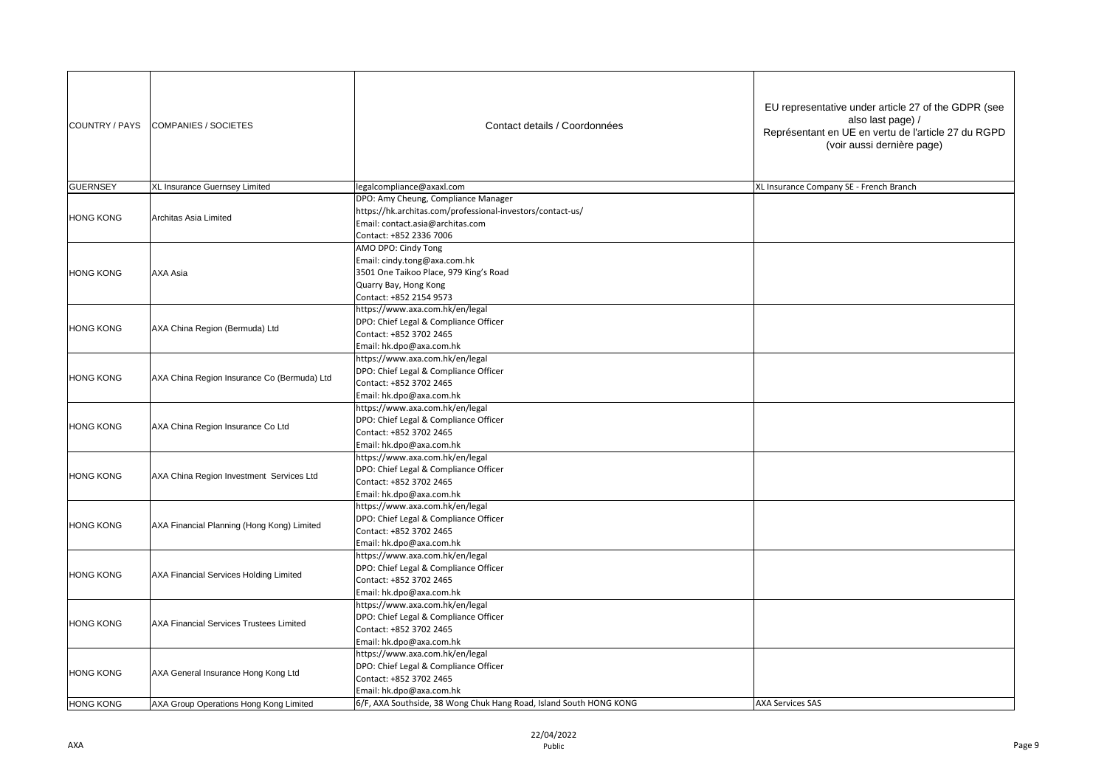| COUNTRY / PAYS   | <b>COMPANIES / SOCIETES</b>                 | Contact details / Coordonnées                                                                                                                                    | EU representative under article 27 of the GDPR (see<br>also last page) /<br>Représentant en UE en vertu de l'article 27 du RGPD<br>(voir aussi dernière page) |
|------------------|---------------------------------------------|------------------------------------------------------------------------------------------------------------------------------------------------------------------|---------------------------------------------------------------------------------------------------------------------------------------------------------------|
| <b>GUERNSEY</b>  | XL Insurance Guernsey Limited               | legalcompliance@axaxl.com                                                                                                                                        | XL Insurance Company SE - French Branch                                                                                                                       |
| <b>HONG KONG</b> | Architas Asia Limited                       | DPO: Amy Cheung, Compliance Manager<br>https://hk.architas.com/professional-investors/contact-us/<br>Email: contact.asia@architas.com<br>Contact: +852 2336 7006 |                                                                                                                                                               |
| <b>HONG KONG</b> | AXA Asia                                    | AMO DPO: Cindy Tong<br>Email: cindy.tong@axa.com.hk<br>3501 One Taikoo Place, 979 King's Road<br>Quarry Bay, Hong Kong<br>Contact: +852 2154 9573                |                                                                                                                                                               |
| HONG KONG        | AXA China Region (Bermuda) Ltd              | https://www.axa.com.hk/en/legal<br>DPO: Chief Legal & Compliance Officer<br>Contact: +852 3702 2465<br>Email: hk.dpo@axa.com.hk                                  |                                                                                                                                                               |
| <b>HONG KONG</b> | AXA China Region Insurance Co (Bermuda) Ltd | https://www.axa.com.hk/en/legal<br>DPO: Chief Legal & Compliance Officer<br>Contact: +852 3702 2465<br>Email: hk.dpo@axa.com.hk                                  |                                                                                                                                                               |
| <b>HONG KONG</b> | AXA China Region Insurance Co Ltd           | https://www.axa.com.hk/en/legal<br>DPO: Chief Legal & Compliance Officer<br>Contact: +852 3702 2465<br>Email: hk.dpo@axa.com.hk                                  |                                                                                                                                                               |
| <b>HONG KONG</b> | AXA China Region Investment Services Ltd    | https://www.axa.com.hk/en/legal<br>DPO: Chief Legal & Compliance Officer<br>Contact: +852 3702 2465<br>Email: hk.dpo@axa.com.hk                                  |                                                                                                                                                               |
| <b>HONG KONG</b> | AXA Financial Planning (Hong Kong) Limited  | https://www.axa.com.hk/en/legal<br>DPO: Chief Legal & Compliance Officer<br>Contact: +852 3702 2465<br>Email: hk.dpo@axa.com.hk                                  |                                                                                                                                                               |
| <b>HONG KONG</b> | AXA Financial Services Holding Limited      | https://www.axa.com.hk/en/legal<br>DPO: Chief Legal & Compliance Officer<br>Contact: +852 3702 2465<br>Email: hk.dpo@axa.com.hk                                  |                                                                                                                                                               |
| <b>HONG KONG</b> | AXA Financial Services Trustees Limited     | https://www.axa.com.hk/en/legal<br>DPO: Chief Legal & Compliance Officer<br>Contact: +852 3702 2465<br>Email: hk.dpo@axa.com.hk                                  |                                                                                                                                                               |
| <b>HONG KONG</b> | AXA General Insurance Hong Kong Ltd         | https://www.axa.com.hk/en/legal<br>DPO: Chief Legal & Compliance Officer<br>Contact: +852 3702 2465<br>Email: hk.dpo@axa.com.hk                                  |                                                                                                                                                               |
| <b>HONG KONG</b> | AXA Group Operations Hong Kong Limited      | 6/F, AXA Southside, 38 Wong Chuk Hang Road, Island South HONG KONG                                                                                               | <b>AXA Services SAS</b>                                                                                                                                       |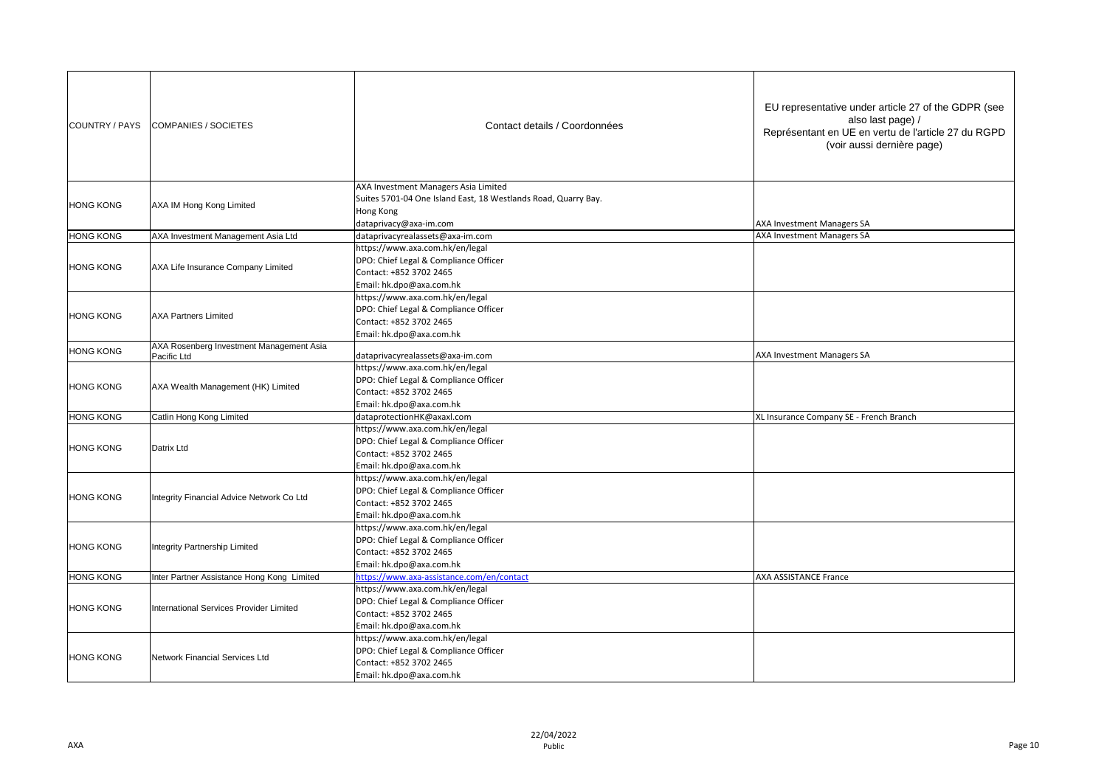| COUNTRY / PAYS   | COMPANIES / SOCIETES                              | Contact details / Coordonnées                                                                                                                                       | EU representative under article 27 of the GDPR (see<br>also last page) /<br>Représentant en UE en vertu de l'article 27 du RGPD<br>(voir aussi dernière page) |
|------------------|---------------------------------------------------|---------------------------------------------------------------------------------------------------------------------------------------------------------------------|---------------------------------------------------------------------------------------------------------------------------------------------------------------|
| <b>HONG KONG</b> | AXA IM Hong Kong Limited                          | AXA Investment Managers Asia Limited<br>Suites 5701-04 One Island East, 18 Westlands Road, Quarry Bay.<br>Hong Kong<br>dataprivacy@axa-im.com                       | AXA Investment Managers SA                                                                                                                                    |
| <b>HONG KONG</b> | AXA Investment Management Asia Ltd                | dataprivacyrealassets@axa-im.com                                                                                                                                    | AXA Investment Managers SA                                                                                                                                    |
| <b>HONG KONG</b> | AXA Life Insurance Company Limited                | https://www.axa.com.hk/en/legal<br>DPO: Chief Legal & Compliance Officer<br>Contact: +852 3702 2465<br>Email: hk.dpo@axa.com.hk                                     |                                                                                                                                                               |
| <b>HONG KONG</b> | <b>AXA Partners Limited</b>                       | https://www.axa.com.hk/en/legal<br>DPO: Chief Legal & Compliance Officer<br>Contact: +852 3702 2465<br>Email: hk.dpo@axa.com.hk                                     |                                                                                                                                                               |
| <b>HONG KONG</b> | AXA Rosenberg Investment Management Asia          |                                                                                                                                                                     | AXA Investment Managers SA                                                                                                                                    |
| <b>HONG KONG</b> | Pacific Ltd<br>AXA Wealth Management (HK) Limited | dataprivacyrealassets@axa-im.com<br>https://www.axa.com.hk/en/legal<br>DPO: Chief Legal & Compliance Officer<br>Contact: +852 3702 2465<br>Email: hk.dpo@axa.com.hk |                                                                                                                                                               |
| <b>HONG KONG</b> | Catlin Hong Kong Limited                          | dataprotectionHK@axaxl.com                                                                                                                                          | XL Insurance Company SE - French Branch                                                                                                                       |
| <b>HONG KONG</b> | Datrix Ltd                                        | https://www.axa.com.hk/en/legal<br>DPO: Chief Legal & Compliance Officer<br>Contact: +852 3702 2465<br>Email: hk.dpo@axa.com.hk                                     |                                                                                                                                                               |
| <b>HONG KONG</b> | Integrity Financial Advice Network Co Ltd         | https://www.axa.com.hk/en/legal<br>DPO: Chief Legal & Compliance Officer<br>Contact: +852 3702 2465<br>Email: hk.dpo@axa.com.hk                                     |                                                                                                                                                               |
| <b>HONG KONG</b> | Integrity Partnership Limited                     | https://www.axa.com.hk/en/legal<br>DPO: Chief Legal & Compliance Officer<br>Contact: +852 3702 2465<br>Email: hk.dpo@axa.com.hk                                     |                                                                                                                                                               |
| <b>HONG KONG</b> | Inter Partner Assistance Hong Kong Limited        | https://www.axa-assistance.com/en/contact                                                                                                                           | AXA ASSISTANCE France                                                                                                                                         |
| <b>HONG KONG</b> | International Services Provider Limited           | https://www.axa.com.hk/en/legal<br>DPO: Chief Legal & Compliance Officer<br>Contact: +852 3702 2465<br>Email: hk.dpo@axa.com.hk                                     |                                                                                                                                                               |
| <b>HONG KONG</b> | Network Financial Services Ltd                    | https://www.axa.com.hk/en/legal<br>DPO: Chief Legal & Compliance Officer<br>Contact: +852 3702 2465<br>Email: hk.dpo@axa.com.hk                                     |                                                                                                                                                               |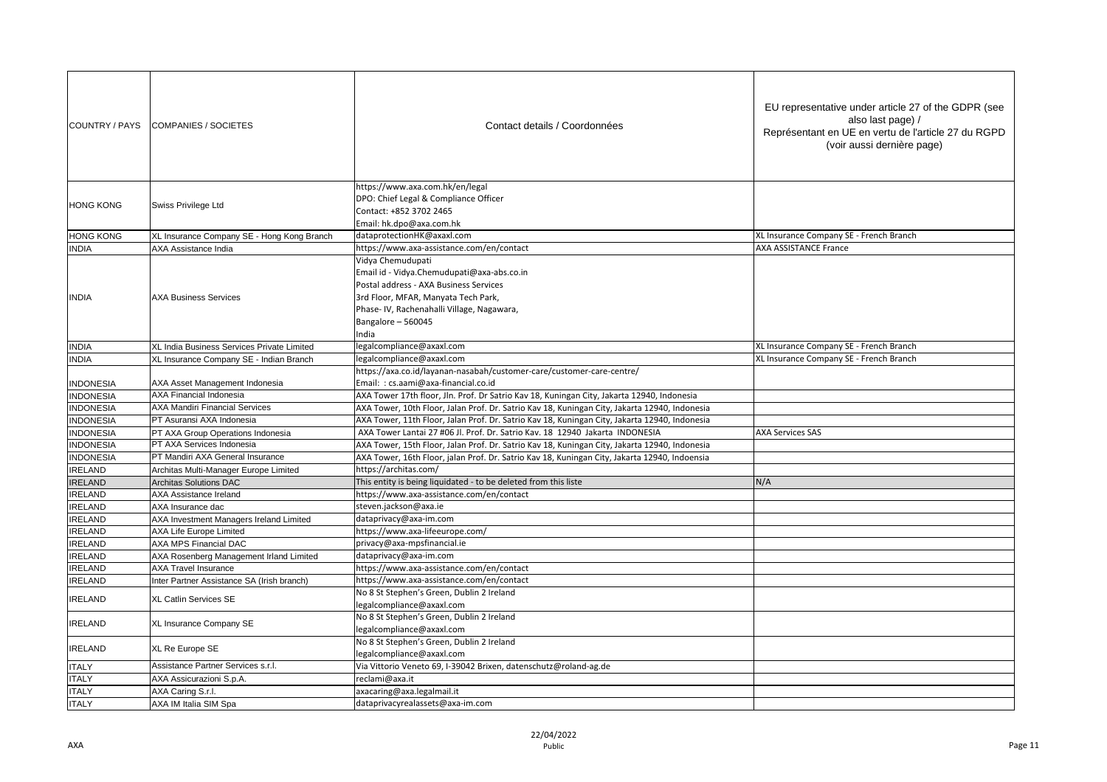| COUNTRY / PAYS                   | COMPANIES / SOCIETES                                             | Contact details / Coordonnées                                                                                                                                                                                                | EU representative under article 27 of the GDPR (see<br>also last page) /<br>Représentant en UE en vertu de l'article 27 du RGPD<br>(voir aussi dernière page) |
|----------------------------------|------------------------------------------------------------------|------------------------------------------------------------------------------------------------------------------------------------------------------------------------------------------------------------------------------|---------------------------------------------------------------------------------------------------------------------------------------------------------------|
| <b>HONG KONG</b>                 | Swiss Privilege Ltd                                              | https://www.axa.com.hk/en/legal<br>DPO: Chief Legal & Compliance Officer<br>Contact: +852 3702 2465<br>Email: hk.dpo@axa.com.hk                                                                                              |                                                                                                                                                               |
| <b>HONG KONG</b>                 | XL Insurance Company SE - Hong Kong Branch                       | dataprotectionHK@axaxl.com                                                                                                                                                                                                   | XL Insurance Company SE - French Branch                                                                                                                       |
| <b>INDIA</b>                     | AXA Assistance India                                             | https://www.axa-assistance.com/en/contact                                                                                                                                                                                    | AXA ASSISTANCE France                                                                                                                                         |
| <b>INDIA</b>                     | <b>AXA Business Services</b>                                     | Vidya Chemudupati<br>Email id - Vidya.Chemudupati@axa-abs.co.in<br>Postal address - AXA Business Services<br>3rd Floor, MFAR, Manyata Tech Park,<br>Phase-IV, Rachenahalli Village, Nagawara,<br>Bangalore - 560045<br>India |                                                                                                                                                               |
| <b>INDIA</b>                     | XL India Business Services Private Limited                       | egalcompliance@axaxl.com                                                                                                                                                                                                     | XL Insurance Company SE - French Branch                                                                                                                       |
| <b>INDIA</b>                     | XL Insurance Company SE - Indian Branch                          | legalcompliance@axaxl.com                                                                                                                                                                                                    | XL Insurance Company SE - French Branch                                                                                                                       |
| <b>INDONESIA</b>                 | AXA Asset Management Indonesia                                   | https://axa.co.id/layanan-nasabah/customer-care/customer-care-centre/<br>Email: : cs.aami@axa-financial.co.id                                                                                                                |                                                                                                                                                               |
| <b>INDONESIA</b>                 | AXA Financial Indonesia                                          | AXA Tower 17th floor, Jln. Prof. Dr Satrio Kav 18, Kuningan City, Jakarta 12940, Indonesia                                                                                                                                   |                                                                                                                                                               |
| <b>INDONESIA</b>                 | <b>AXA Mandiri Financial Services</b>                            | AXA Tower, 10th Floor, Jalan Prof. Dr. Satrio Kav 18, Kuningan City, Jakarta 12940, Indonesia                                                                                                                                |                                                                                                                                                               |
| <b>INDONESIA</b>                 | PT Asuransi AXA Indonesia                                        | AXA Tower, 11th Floor, Jalan Prof. Dr. Satrio Kav 18, Kuningan City, Jakarta 12940, Indonesia                                                                                                                                |                                                                                                                                                               |
| <b>INDONESIA</b>                 | PT AXA Group Operations Indonesia                                | AXA Tower Lantai 27 #06 Jl. Prof. Dr. Satrio Kav. 18 12940 Jakarta INDONESIA                                                                                                                                                 | <b>AXA Services SAS</b>                                                                                                                                       |
| <b>INDONESIA</b>                 | PT AXA Services Indonesia                                        | AXA Tower, 15th Floor, Jalan Prof. Dr. Satrio Kav 18, Kuningan City, Jakarta 12940, Indonesia                                                                                                                                |                                                                                                                                                               |
| <b>INDONESIA</b>                 | PT Mandiri AXA General Insurance                                 | AXA Tower, 16th Floor, jalan Prof. Dr. Satrio Kav 18, Kuningan City, Jakarta 12940, Indoensia                                                                                                                                |                                                                                                                                                               |
| <b>IRELAND</b>                   | Architas Multi-Manager Europe Limited                            | https://architas.com/                                                                                                                                                                                                        |                                                                                                                                                               |
| <b>IRELAND</b>                   | <b>Architas Solutions DAC</b>                                    | This entity is being liquidated - to be deleted from this liste                                                                                                                                                              | N/A                                                                                                                                                           |
| <b>IRELAND</b>                   | AXA Assistance Ireland                                           | https://www.axa-assistance.com/en/contact                                                                                                                                                                                    |                                                                                                                                                               |
| <b>IRELAND</b>                   | AXA Insurance dac                                                | steven.jackson@axa.ie                                                                                                                                                                                                        |                                                                                                                                                               |
| <b>IRELAND</b>                   | AXA Investment Managers Ireland Limited                          | dataprivacy@axa-im.com                                                                                                                                                                                                       |                                                                                                                                                               |
| <b>IRELAND</b>                   | <b>AXA Life Europe Limited</b>                                   | https://www.axa-lifeeurope.com/<br>privacy@axa-mpsfinancial.ie                                                                                                                                                               |                                                                                                                                                               |
| <b>IRELAND</b><br><b>IRELAND</b> | AXA MPS Financial DAC<br>AXA Rosenberg Management Irland Limited | dataprivacy@axa-im.com                                                                                                                                                                                                       |                                                                                                                                                               |
| <b>IRELAND</b>                   | <b>AXA Travel Insurance</b>                                      | https://www.axa-assistance.com/en/contact                                                                                                                                                                                    |                                                                                                                                                               |
| <b>IRELAND</b>                   | Inter Partner Assistance SA (Irish branch)                       | https://www.axa-assistance.com/en/contact                                                                                                                                                                                    |                                                                                                                                                               |
|                                  |                                                                  | No 8 St Stephen's Green, Dublin 2 Ireland                                                                                                                                                                                    |                                                                                                                                                               |
| <b>IRELAND</b>                   | XL Catlin Services SE                                            | legalcompliance@axaxl.com                                                                                                                                                                                                    |                                                                                                                                                               |
| <b>IRELAND</b>                   | XL Insurance Company SE                                          | No 8 St Stephen's Green, Dublin 2 Ireland<br>legalcompliance@axaxl.com                                                                                                                                                       |                                                                                                                                                               |
| <b>IRELAND</b>                   | XL Re Europe SE                                                  | No 8 St Stephen's Green, Dublin 2 Ireland<br>legalcompliance@axaxl.com                                                                                                                                                       |                                                                                                                                                               |
| <b>ITALY</b>                     | Assistance Partner Services s.r.l.                               | Via Vittorio Veneto 69, I-39042 Brixen, datenschutz@roland-ag.de                                                                                                                                                             |                                                                                                                                                               |
| <b>ITALY</b>                     | AXA Assicurazioni S.p.A.                                         | reclami@axa.it                                                                                                                                                                                                               |                                                                                                                                                               |
| <b>ITALY</b>                     | AXA Caring S.r.l.                                                | axacaring@axa.legalmail.it                                                                                                                                                                                                   |                                                                                                                                                               |
| <b>ITALY</b>                     | AXA IM Italia SIM Spa                                            | dataprivacyrealassets@axa-im.com                                                                                                                                                                                             |                                                                                                                                                               |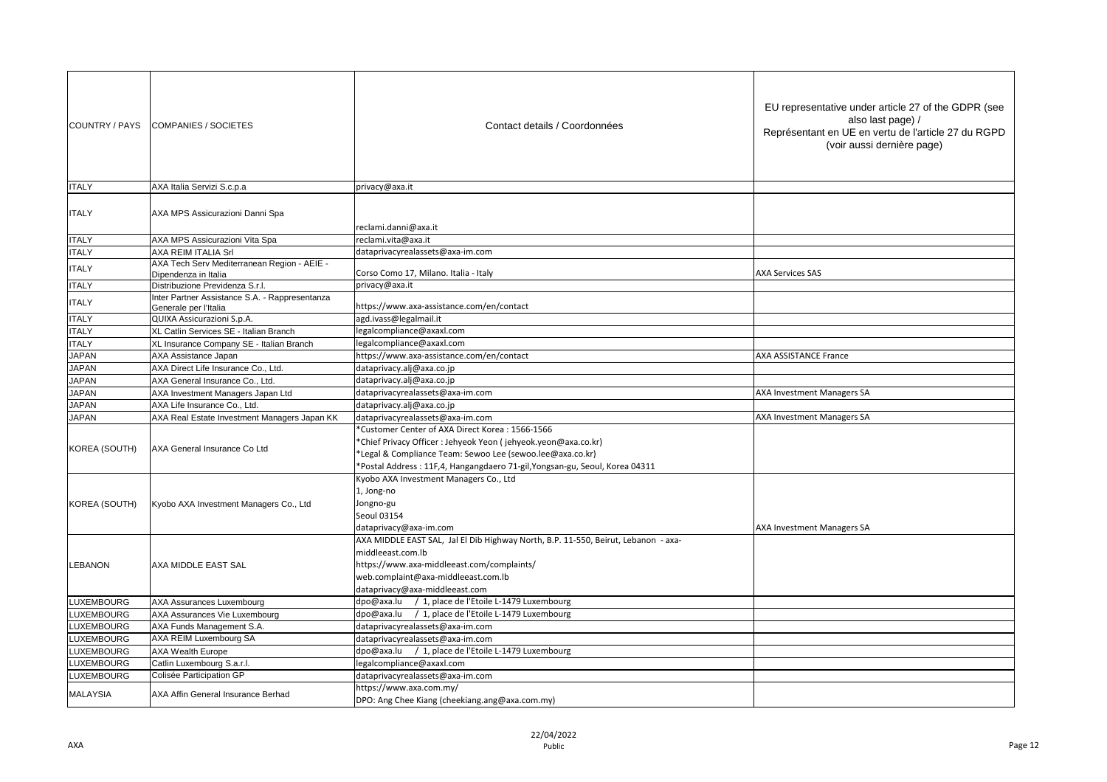| COUNTRY / PAYS    | <b>COMPANIES / SOCIETES</b>                                         | Contact details / Coordonnées                                                                                               | EU representative under article 27 of the GDPR (see<br>also last page) /<br>Représentant en UE en vertu de l'article 27 du RGPD<br>(voir aussi dernière page) |
|-------------------|---------------------------------------------------------------------|-----------------------------------------------------------------------------------------------------------------------------|---------------------------------------------------------------------------------------------------------------------------------------------------------------|
| <b>ITALY</b>      | AXA Italia Servizi S.c.p.a                                          | privacy@axa.it                                                                                                              |                                                                                                                                                               |
| <b>ITALY</b>      | AXA MPS Assicurazioni Danni Spa                                     | reclami.danni@axa.it                                                                                                        |                                                                                                                                                               |
| <b>ITALY</b>      | AXA MPS Assicurazioni Vita Spa                                      | reclami.vita@axa.it                                                                                                         |                                                                                                                                                               |
| <b>ITALY</b>      | AXA REIM ITALIA Srl                                                 | dataprivacyrealassets@axa-im.com                                                                                            |                                                                                                                                                               |
| <b>ITALY</b>      | AXA Tech Serv Mediterranean Region - AEIE -<br>Dipendenza in Italia | Corso Como 17, Milano. Italia - Italy                                                                                       | <b>AXA Services SAS</b>                                                                                                                                       |
| <b>ITALY</b>      | Distribuzione Previdenza S.r.l.                                     | privacy@axa.it                                                                                                              |                                                                                                                                                               |
| <b>ITALY</b>      | Inter Partner Assistance S.A. - Rappresentanza                      | https://www.axa-assistance.com/en/contact                                                                                   |                                                                                                                                                               |
| <b>ITALY</b>      | Generale per l'Italia<br>QUIXA Assicurazioni S.p.A.                 | agd.ivass@legalmail.it                                                                                                      |                                                                                                                                                               |
| <b>ITALY</b>      | XL Catlin Services SE - Italian Branch                              | egalcompliance@axaxl.com                                                                                                    |                                                                                                                                                               |
| <b>ITALY</b>      | XL Insurance Company SE - Italian Branch                            | egalcompliance@axaxl.com                                                                                                    |                                                                                                                                                               |
| <b>JAPAN</b>      | AXA Assistance Japan                                                | https://www.axa-assistance.com/en/contact                                                                                   | <b>AXA ASSISTANCE France</b>                                                                                                                                  |
| <b>JAPAN</b>      | AXA Direct Life Insurance Co., Ltd.                                 | dataprivacy.alj@axa.co.jp                                                                                                   |                                                                                                                                                               |
| <b>JAPAN</b>      | AXA General Insurance Co., Ltd.                                     | dataprivacy.alj@axa.co.jp                                                                                                   |                                                                                                                                                               |
| <b>JAPAN</b>      | AXA Investment Managers Japan Ltd                                   | dataprivacyrealassets@axa-im.com                                                                                            | AXA Investment Managers SA                                                                                                                                    |
| <b>JAPAN</b>      | AXA Life Insurance Co., Ltd.                                        | dataprivacy.alj@axa.co.jp                                                                                                   |                                                                                                                                                               |
| <b>JAPAN</b>      | AXA Real Estate Investment Managers Japan KK                        | dataprivacyrealassets@axa-im.com                                                                                            | AXA Investment Managers SA                                                                                                                                    |
|                   |                                                                     | *Customer Center of AXA Direct Korea: 1566-1566                                                                             |                                                                                                                                                               |
| KOREA (SOUTH)     | AXA General Insurance Co Ltd                                        | *Chief Privacy Officer : Jehyeok Yeon (jehyeok.yeon@axa.co.kr)<br>*Legal & Compliance Team: Sewoo Lee (sewoo.lee@axa.co.kr) |                                                                                                                                                               |
|                   |                                                                     | *Postal Address: 11F,4, Hangangdaero 71-gil, Yongsan-gu, Seoul, Korea 04311                                                 |                                                                                                                                                               |
| KOREA (SOUTH)     | Kyobo AXA Investment Managers Co., Ltd                              | Kyobo AXA Investment Managers Co., Ltd<br>1, Jong-no<br>Jongno-gu                                                           |                                                                                                                                                               |
|                   |                                                                     | Seoul 03154                                                                                                                 |                                                                                                                                                               |
|                   |                                                                     | dataprivacy@axa-im.com                                                                                                      | AXA Investment Managers SA                                                                                                                                    |
|                   |                                                                     | AXA MIDDLE EAST SAL, Jal El Dib Highway North, B.P. 11-550, Beirut, Lebanon - axa-                                          |                                                                                                                                                               |
|                   |                                                                     | middleeast.com.lb                                                                                                           |                                                                                                                                                               |
| <b>LEBANON</b>    | AXA MIDDLE EAST SAL                                                 | https://www.axa-middleeast.com/complaints/                                                                                  |                                                                                                                                                               |
|                   |                                                                     | web.complaint@axa-middleeast.com.lb<br>dataprivacy@axa-middleeast.com                                                       |                                                                                                                                                               |
| <b>LUXEMBOURG</b> | AXA Assurances Luxembourg                                           | dpo@axa.lu / 1, place de l'Etoile L-1479 Luxembourg                                                                         |                                                                                                                                                               |
| <b>LUXEMBOURG</b> | AXA Assurances Vie Luxembourg                                       | dpo@axa.lu / 1, place de l'Etoile L-1479 Luxembourg                                                                         |                                                                                                                                                               |
| <b>LUXEMBOURG</b> | AXA Funds Management S.A.                                           | dataprivacyrealassets@axa-im.com                                                                                            |                                                                                                                                                               |
| <b>LUXEMBOURG</b> | AXA REIM Luxembourg SA                                              | dataprivacyrealassets@axa-im.com                                                                                            |                                                                                                                                                               |
| <b>LUXEMBOURG</b> | <b>AXA Wealth Europe</b>                                            | dpo@axa.lu / 1, place de l'Etoile L-1479 Luxembourg                                                                         |                                                                                                                                                               |
| <b>LUXEMBOURG</b> | Catlin Luxembourg S.a.r.l.                                          | egalcompliance@axaxl.com                                                                                                    |                                                                                                                                                               |
| <b>LUXEMBOURG</b> | Colisée Participation GP                                            | dataprivacyrealassets@axa-im.com                                                                                            |                                                                                                                                                               |
|                   |                                                                     | https://www.axa.com.my/                                                                                                     |                                                                                                                                                               |
| <b>MALAYSIA</b>   | AXA Affin General Insurance Berhad                                  | DPO: Ang Chee Kiang (cheekiang.ang@axa.com.my)                                                                              |                                                                                                                                                               |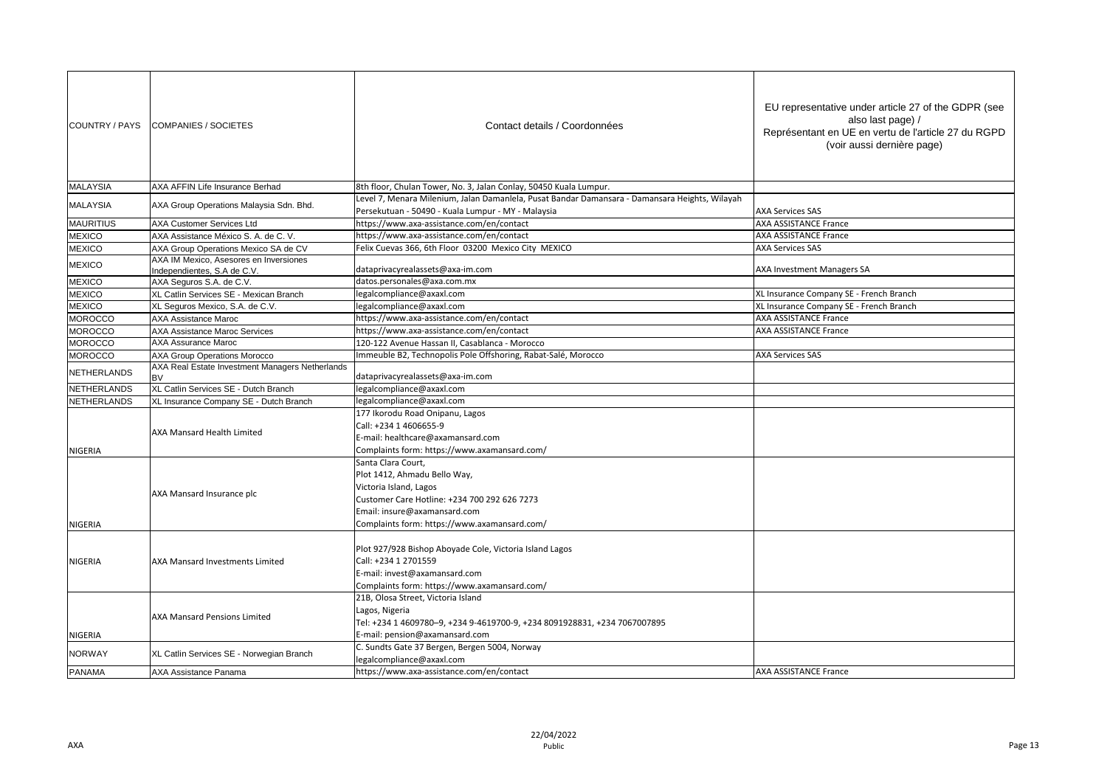| <b>MALAYSIA</b><br><b>MALAYSIA</b><br><b>MAURITIUS</b><br><b>MEXICO</b><br><b>MEXICO</b><br><b>MEXICO</b><br><b>MEXICO</b><br><b>MEXICO</b><br>MEXICO<br><b>MOROCCO</b><br><b>MOROCCO</b><br><b>MOROCCO</b><br><b>MOROCCO</b><br><b>NETHERLANDS</b><br><b>BV</b><br><b>NETHERLANDS</b><br><b>NETHERLANDS</b> | AXA AFFIN Life Insurance Berhad<br>AXA Group Operations Malaysia Sdn. Bhd.<br><b>AXA Customer Services Ltd</b><br>AXA Assistance México S. A. de C. V.<br>AXA Group Operations Mexico SA de CV<br>AXA IM Mexico, Asesores en Inversiones<br>Independientes, S.A de C.V. | 8th floor, Chulan Tower, No. 3, Jalan Conlay, 50450 Kuala Lumpur.<br>Level 7, Menara Milenium, Jalan Damanlela, Pusat Bandar Damansara - Damansara Heights, Wilayah<br>Persekutuan - 50490 - Kuala Lumpur - MY - Malaysia<br>https://www.axa-assistance.com/en/contact<br>https://www.axa-assistance.com/en/contact<br>Felix Cuevas 366, 6th Floor 03200 Mexico City MEXICO | <b>AXA Services SAS</b><br><b>AXA ASSISTANCE France</b> |
|--------------------------------------------------------------------------------------------------------------------------------------------------------------------------------------------------------------------------------------------------------------------------------------------------------------|-------------------------------------------------------------------------------------------------------------------------------------------------------------------------------------------------------------------------------------------------------------------------|-----------------------------------------------------------------------------------------------------------------------------------------------------------------------------------------------------------------------------------------------------------------------------------------------------------------------------------------------------------------------------|---------------------------------------------------------|
|                                                                                                                                                                                                                                                                                                              |                                                                                                                                                                                                                                                                         |                                                                                                                                                                                                                                                                                                                                                                             |                                                         |
|                                                                                                                                                                                                                                                                                                              |                                                                                                                                                                                                                                                                         |                                                                                                                                                                                                                                                                                                                                                                             |                                                         |
|                                                                                                                                                                                                                                                                                                              |                                                                                                                                                                                                                                                                         |                                                                                                                                                                                                                                                                                                                                                                             |                                                         |
|                                                                                                                                                                                                                                                                                                              |                                                                                                                                                                                                                                                                         |                                                                                                                                                                                                                                                                                                                                                                             | <b>AXA ASSISTANCE France</b>                            |
|                                                                                                                                                                                                                                                                                                              |                                                                                                                                                                                                                                                                         |                                                                                                                                                                                                                                                                                                                                                                             | <b>AXA Services SAS</b>                                 |
|                                                                                                                                                                                                                                                                                                              |                                                                                                                                                                                                                                                                         | dataprivacyrealassets@axa-im.com                                                                                                                                                                                                                                                                                                                                            | AXA Investment Managers SA                              |
|                                                                                                                                                                                                                                                                                                              | AXA Seguros S.A. de C.V.                                                                                                                                                                                                                                                | datos.personales@axa.com.mx                                                                                                                                                                                                                                                                                                                                                 |                                                         |
|                                                                                                                                                                                                                                                                                                              | XL Catlin Services SE - Mexican Branch                                                                                                                                                                                                                                  | legalcompliance@axaxl.com                                                                                                                                                                                                                                                                                                                                                   | XL Insurance Company SE - French Branch                 |
|                                                                                                                                                                                                                                                                                                              | XL Seguros Mexico, S.A. de C.V.                                                                                                                                                                                                                                         | legalcompliance@axaxl.com                                                                                                                                                                                                                                                                                                                                                   | XL Insurance Company SE - French Branch                 |
|                                                                                                                                                                                                                                                                                                              | <b>AXA Assistance Maroc</b>                                                                                                                                                                                                                                             | https://www.axa-assistance.com/en/contact                                                                                                                                                                                                                                                                                                                                   | <b>AXA ASSISTANCE France</b>                            |
|                                                                                                                                                                                                                                                                                                              | <b>AXA Assistance Maroc Services</b>                                                                                                                                                                                                                                    | https://www.axa-assistance.com/en/contact                                                                                                                                                                                                                                                                                                                                   | <b>AXA ASSISTANCE France</b>                            |
|                                                                                                                                                                                                                                                                                                              | AXA Assurance Maroc                                                                                                                                                                                                                                                     | 120-122 Avenue Hassan II, Casablanca - Morocco                                                                                                                                                                                                                                                                                                                              |                                                         |
|                                                                                                                                                                                                                                                                                                              | AXA Group Operations Morocco                                                                                                                                                                                                                                            | Immeuble B2, Technopolis Pole Offshoring, Rabat-Salé, Morocco                                                                                                                                                                                                                                                                                                               | <b>AXA Services SAS</b>                                 |
|                                                                                                                                                                                                                                                                                                              | AXA Real Estate Investment Managers Netherlands                                                                                                                                                                                                                         | dataprivacyrealassets@axa-im.com                                                                                                                                                                                                                                                                                                                                            |                                                         |
|                                                                                                                                                                                                                                                                                                              | XL Catlin Services SE - Dutch Branch                                                                                                                                                                                                                                    | legalcompliance@axaxl.com                                                                                                                                                                                                                                                                                                                                                   |                                                         |
|                                                                                                                                                                                                                                                                                                              | XL Insurance Company SE - Dutch Branch                                                                                                                                                                                                                                  | legalcompliance@axaxl.com                                                                                                                                                                                                                                                                                                                                                   |                                                         |
| <b>NIGERIA</b>                                                                                                                                                                                                                                                                                               | AXA Mansard Health Limited                                                                                                                                                                                                                                              | 177 Ikorodu Road Onipanu, Lagos<br>Call: +234 1 4606655-9<br>E-mail: healthcare@axamansard.com<br>Complaints form: https://www.axamansard.com/                                                                                                                                                                                                                              |                                                         |
| NIGERIA                                                                                                                                                                                                                                                                                                      | AXA Mansard Insurance plc                                                                                                                                                                                                                                               | Santa Clara Court,<br>Plot 1412, Ahmadu Bello Way,<br>Victoria Island, Lagos<br>Customer Care Hotline: +234 700 292 626 7273<br>Email: insure@axamansard.com<br>Complaints form: https://www.axamansard.com/                                                                                                                                                                |                                                         |
| <b>NIGERIA</b>                                                                                                                                                                                                                                                                                               | <b>AXA Mansard Investments Limited</b>                                                                                                                                                                                                                                  | Plot 927/928 Bishop Aboyade Cole, Victoria Island Lagos<br>Call: +234 1 2701559<br>E-mail: invest@axamansard.com<br>Complaints form: https://www.axamansard.com/                                                                                                                                                                                                            |                                                         |
| NIGERIA                                                                                                                                                                                                                                                                                                      | <b>AXA Mansard Pensions Limited</b>                                                                                                                                                                                                                                     | 21B, Olosa Street, Victoria Island<br>Lagos, Nigeria<br>Tel: +234 1 4609780-9, +234 9-4619700-9, +234 8091928831, +234 7067007895<br>E-mail: pension@axamansard.com                                                                                                                                                                                                         |                                                         |
| <b>NORWAY</b>                                                                                                                                                                                                                                                                                                | XL Catlin Services SE - Norwegian Branch                                                                                                                                                                                                                                | C. Sundts Gate 37 Bergen, Bergen 5004, Norway<br>legalcompliance@axaxl.com                                                                                                                                                                                                                                                                                                  |                                                         |
| <b>PANAMA</b>                                                                                                                                                                                                                                                                                                | AXA Assistance Panama                                                                                                                                                                                                                                                   | https://www.axa-assistance.com/en/contact                                                                                                                                                                                                                                                                                                                                   | <b>AXA ASSISTANCE France</b>                            |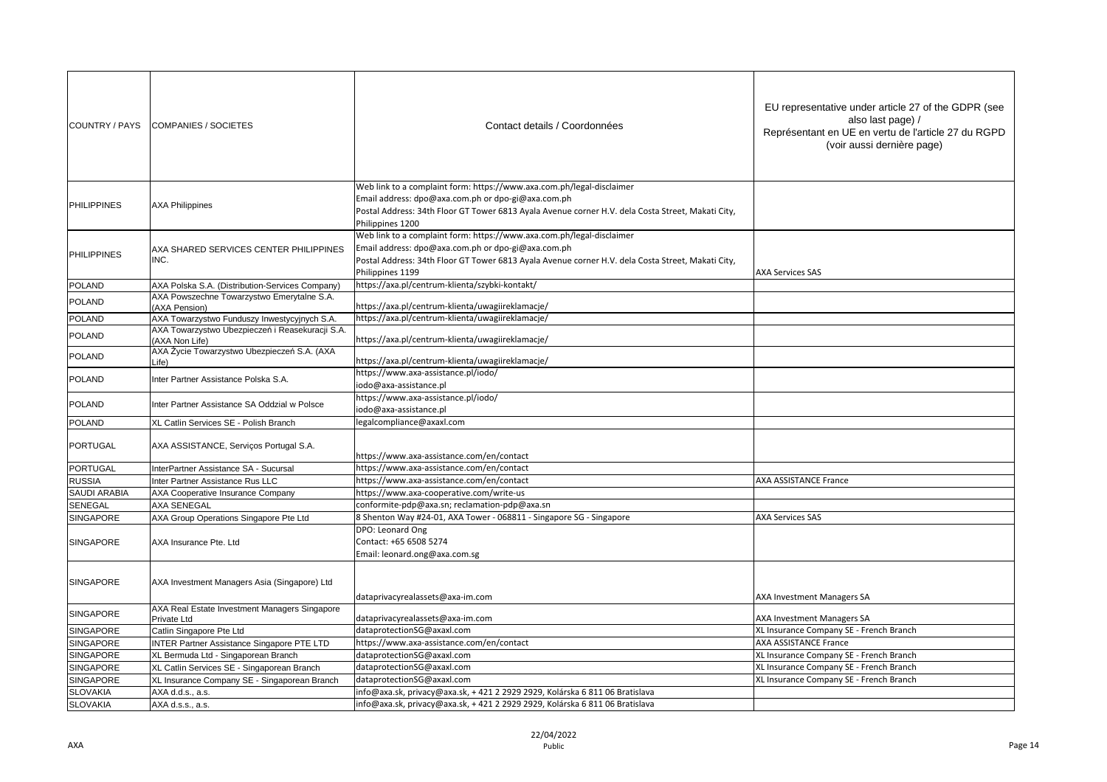| COUNTRY / PAYS      | <b>COMPANIES / SOCIETES</b>                                       | Contact details / Coordonnées                                                                                                                                                                                                                        | EU representative under article 27 of the GDPR (see<br>also last page) /<br>Représentant en UE en vertu de l'article 27 du RGPD<br>(voir aussi dernière page) |
|---------------------|-------------------------------------------------------------------|------------------------------------------------------------------------------------------------------------------------------------------------------------------------------------------------------------------------------------------------------|---------------------------------------------------------------------------------------------------------------------------------------------------------------|
| <b>PHILIPPINES</b>  | <b>AXA Philippines</b>                                            | Web link to a complaint form: https://www.axa.com.ph/legal-disclaimer<br>Email address: dpo@axa.com.ph or dpo-gi@axa.com.ph<br>Postal Address: 34th Floor GT Tower 6813 Ayala Avenue corner H.V. dela Costa Street, Makati City,<br>Philippines 1200 |                                                                                                                                                               |
| <b>PHILIPPINES</b>  | AXA SHARED SERVICES CENTER PHILIPPINES<br>INC.                    | Web link to a complaint form: https://www.axa.com.ph/legal-disclaimer<br>Email address: dpo@axa.com.ph or dpo-gi@axa.com.ph<br>Postal Address: 34th Floor GT Tower 6813 Ayala Avenue corner H.V. dela Costa Street, Makati City,<br>Philippines 1199 | <b>AXA Services SAS</b>                                                                                                                                       |
| <b>POLAND</b>       | AXA Polska S.A. (Distribution-Services Company)                   | https://axa.pl/centrum-klienta/szybki-kontakt/                                                                                                                                                                                                       |                                                                                                                                                               |
| POLAND              | AXA Powszechne Towarzystwo Emerytalne S.A.<br>(AXA Pension)       | https://axa.pl/centrum-klienta/uwagiireklamacje/                                                                                                                                                                                                     |                                                                                                                                                               |
| <b>POLAND</b>       | AXA Towarzystwo Funduszy Inwestycyjnych S.A.                      | https://axa.pl/centrum-klienta/uwagiireklamacje/                                                                                                                                                                                                     |                                                                                                                                                               |
| <b>POLAND</b>       | AXA Towarzystwo Ubezpieczeń i Reasekuracji S.A.<br>(AXA Non Life) | https://axa.pl/centrum-klienta/uwagiireklamacje/                                                                                                                                                                                                     |                                                                                                                                                               |
| <b>POLAND</b>       | AXA Życie Towarzystwo Ubezpieczeń S.A. (AXA<br>Life)              | https://axa.pl/centrum-klienta/uwagiireklamacje/                                                                                                                                                                                                     |                                                                                                                                                               |
| POLAND              | Inter Partner Assistance Polska S.A.                              | https://www.axa-assistance.pl/iodo/<br>odo@axa-assistance.pl                                                                                                                                                                                         |                                                                                                                                                               |
| <b>POLAND</b>       | Inter Partner Assistance SA Oddzial w Polsce                      | https://www.axa-assistance.pl/iodo/<br>odo@axa-assistance.pl                                                                                                                                                                                         |                                                                                                                                                               |
| <b>POLAND</b>       | XL Catlin Services SE - Polish Branch                             | egalcompliance@axaxl.com                                                                                                                                                                                                                             |                                                                                                                                                               |
| PORTUGAL            | AXA ASSISTANCE, Serviços Portugal S.A.                            | nttps://www.axa-assistance.com/en/contact                                                                                                                                                                                                            |                                                                                                                                                               |
| <b>PORTUGAL</b>     | InterPartner Assistance SA - Sucursal                             | nttps://www.axa-assistance.com/en/contact                                                                                                                                                                                                            |                                                                                                                                                               |
| <b>RUSSIA</b>       | Inter Partner Assistance Rus LLC                                  | nttps://www.axa-assistance.com/en/contact                                                                                                                                                                                                            | <b>AXA ASSISTANCE France</b>                                                                                                                                  |
| <b>SAUDI ARABIA</b> | AXA Cooperative Insurance Company                                 | nttps://www.axa-cooperative.com/write-us                                                                                                                                                                                                             |                                                                                                                                                               |
| SENEGAL             | <b>AXA SENEGAL</b>                                                | conformite-pdp@axa.sn; reclamation-pdp@axa.sn                                                                                                                                                                                                        |                                                                                                                                                               |
| SINGAPORE           | AXA Group Operations Singapore Pte Ltd                            | 8 Shenton Way #24-01, AXA Tower - 068811 - Singapore SG - Singapore                                                                                                                                                                                  | <b>AXA Services SAS</b>                                                                                                                                       |
| SINGAPORE           | AXA Insurance Pte. Ltd                                            | DPO: Leonard Ong<br>Contact: +65 6508 5274<br>Email: leonard.ong@axa.com.sg                                                                                                                                                                          |                                                                                                                                                               |
| SINGAPORE           | AXA Investment Managers Asia (Singapore) Ltd                      | dataprivacyrealassets@axa-im.com                                                                                                                                                                                                                     | AXA Investment Managers SA                                                                                                                                    |
| SINGAPORE           | AXA Real Estate Investment Managers Singapore<br>Private Ltd      | dataprivacyrealassets@axa-im.com                                                                                                                                                                                                                     | AXA Investment Managers SA                                                                                                                                    |
| SINGAPORE           | Catlin Singapore Pte Ltd                                          | dataprotectionSG@axaxl.com                                                                                                                                                                                                                           | XL Insurance Company SE - French Branch                                                                                                                       |
| SINGAPORE           | <b>INTER Partner Assistance Singapore PTE LTD</b>                 | https://www.axa-assistance.com/en/contact                                                                                                                                                                                                            | <b>AXA ASSISTANCE France</b>                                                                                                                                  |
| SINGAPORE           | XL Bermuda Ltd - Singaporean Branch                               | dataprotectionSG@axaxl.com                                                                                                                                                                                                                           | XL Insurance Company SE - French Branch                                                                                                                       |
| SINGAPORE           | XL Catlin Services SE - Singaporean Branch                        | dataprotectionSG@axaxl.com                                                                                                                                                                                                                           | XL Insurance Company SE - French Branch                                                                                                                       |
| SINGAPORE           | XL Insurance Company SE - Singaporean Branch                      | dataprotectionSG@axaxl.com                                                                                                                                                                                                                           | XL Insurance Company SE - French Branch                                                                                                                       |
| <b>SLOVAKIA</b>     | AXA d.d.s., a.s.                                                  | nfo@axa.sk, privacy@axa.sk, + 421 2 2929 2929, Kolárska 6 811 06 Bratislava                                                                                                                                                                          |                                                                                                                                                               |
| <b>SLOVAKIA</b>     | AXA d.s.s., a.s.                                                  | info@axa.sk, privacy@axa.sk, + 421 2 2929 2929, Kolárska 6 811 06 Bratislava                                                                                                                                                                         |                                                                                                                                                               |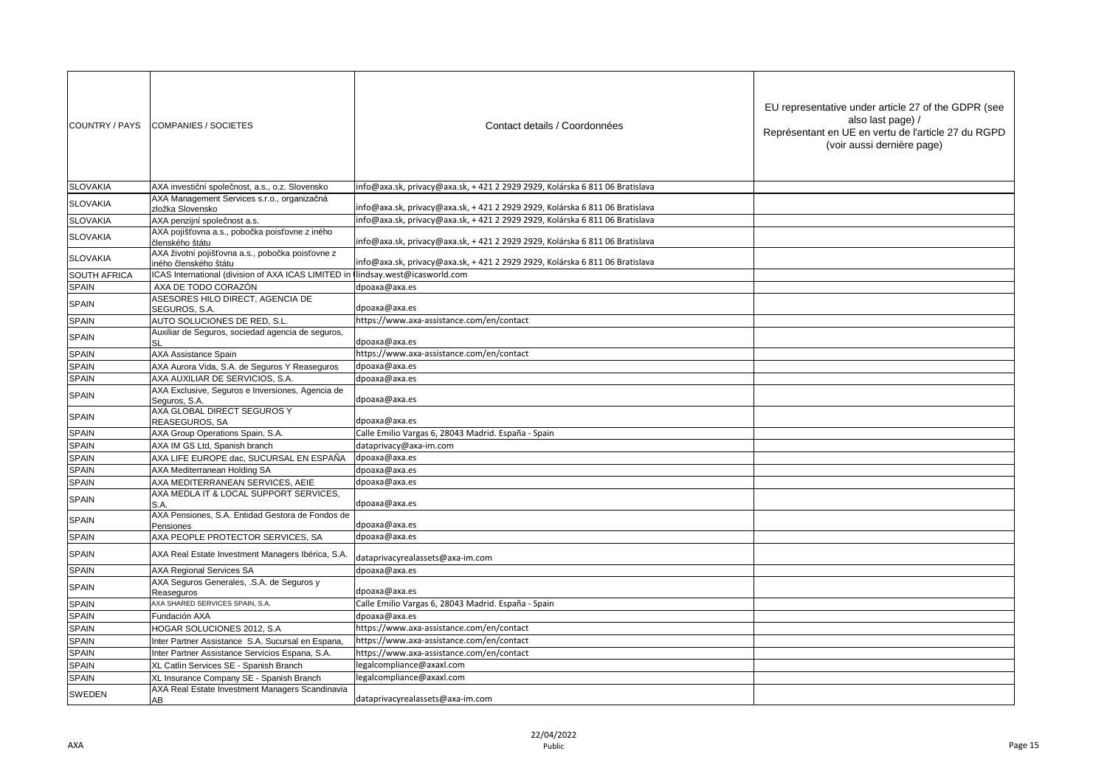| COUNTRY / PAYS  | <b>COMPANIES / SOCIETES</b>                                               | Contact details / Coordonnées                                                | EU representative under article 27 of the GDPR (see<br>also last page) /<br>Représentant en UE en vertu de l'article 27 du RGPD<br>(voir aussi dernière page) |
|-----------------|---------------------------------------------------------------------------|------------------------------------------------------------------------------|---------------------------------------------------------------------------------------------------------------------------------------------------------------|
| <b>SLOVAKIA</b> | AXA investiční společnost, a.s., o.z. Slovensko                           | info@axa.sk, privacy@axa.sk, +421 2 2929 2929, Kolárska 6 811 06 Bratislava  |                                                                                                                                                               |
| <b>SLOVAKIA</b> | AXA Management Services s.r.o., organizačná                               |                                                                              |                                                                                                                                                               |
|                 | zložka Slovensko                                                          | info@axa.sk, privacy@axa.sk, + 421 2 2929 2929, Kolárska 6 811 06 Bratislava |                                                                                                                                                               |
| <b>SLOVAKIA</b> | AXA penzijní společnost a.s.                                              | info@axa.sk, privacy@axa.sk, +421 2 2929 2929, Kolárska 6 811 06 Bratislava  |                                                                                                                                                               |
| <b>SLOVAKIA</b> | AXA pojišťovna a.s., pobočka poisťovne z iného<br>členského štátu         | info@axa.sk, privacy@axa.sk, +421 2 2929 2929, Kolárska 6 811 06 Bratislava  |                                                                                                                                                               |
| <b>SLOVAKIA</b> | AXA životní pojišťovna a.s., pobočka poisťovne z<br>iného členského štátu | info@axa.sk, privacy@axa.sk, +421 2 2929 2929, Kolárska 6 811 06 Bratislava  |                                                                                                                                                               |
| SOUTH AFRICA    | ICAS International (division of AXA ICAS LIMITED ir                       | lindsay.west@icasworld.com                                                   |                                                                                                                                                               |
| <b>SPAIN</b>    | AXA DE TODO CORAZÓN                                                       | dpoaxa@axa.es                                                                |                                                                                                                                                               |
| <b>SPAIN</b>    | ASESORES HILO DIRECT. AGENCIA DE<br>SEGUROS, S.A.                         | dpoaxa@axa.es                                                                |                                                                                                                                                               |
| SPAIN           | AUTO SOLUCIONES DE RED, S.L.                                              | https://www.axa-assistance.com/en/contact                                    |                                                                                                                                                               |
| <b>SPAIN</b>    | Auxiliar de Seguros, sociedad agencia de seguros,<br>SL                   | dpoaxa@axa.es                                                                |                                                                                                                                                               |
| <b>SPAIN</b>    | <b>AXA Assistance Spain</b>                                               | https://www.axa-assistance.com/en/contact                                    |                                                                                                                                                               |
| <b>SPAIN</b>    | AXA Aurora Vida, S.A. de Seguros Y Reaseguros                             | dpoaxa@axa.es                                                                |                                                                                                                                                               |
| <b>SPAIN</b>    | AXA AUXILIAR DE SERVICIOS. S.A.                                           | dpoaxa@axa.es                                                                |                                                                                                                                                               |
| SPAIN           | AXA Exclusive, Seguros e Inversiones, Agencia de<br>Seguros, S.A.         | dpoaxa@axa.es                                                                |                                                                                                                                                               |
| <b>SPAIN</b>    | AXA GLOBAL DIRECT SEGUROS Y<br>REASEGUROS, SA                             | dpoaxa@axa.es                                                                |                                                                                                                                                               |
| <b>SPAIN</b>    | AXA Group Operations Spain, S.A.                                          | Calle Emilio Vargas 6, 28043 Madrid. España - Spain                          |                                                                                                                                                               |
| <b>SPAIN</b>    | AXA IM GS Ltd, Spanish branch                                             | dataprivacy@axa-im.com                                                       |                                                                                                                                                               |
| SPAIN           | AXA LIFE EUROPE dac, SUCURSAL EN ESPAÑA                                   | dpoaxa@axa.es                                                                |                                                                                                                                                               |
| <b>SPAIN</b>    | AXA Mediterranean Holding SA                                              | dpoaxa@axa.es                                                                |                                                                                                                                                               |
| <b>SPAIN</b>    | AXA MEDITERRANEAN SERVICES, AEIE                                          | dpoaxa@axa.es                                                                |                                                                                                                                                               |
| <b>SPAIN</b>    | AXA MEDLA IT & LOCAL SUPPORT SERVICES,<br>S.A.                            | dpoaxa@axa.es                                                                |                                                                                                                                                               |
| <b>SPAIN</b>    | AXA Pensiones, S.A. Entidad Gestora de Fondos de<br>Pensiones             | dpoaxa@axa.es                                                                |                                                                                                                                                               |
| <b>SPAIN</b>    | AXA PEOPLE PROTECTOR SERVICES, SA                                         | dpoaxa@axa.es                                                                |                                                                                                                                                               |
| <b>SPAIN</b>    | AXA Real Estate Investment Managers Ibérica, S.A.                         | dataprivacyrealassets@axa-im.com                                             |                                                                                                                                                               |
| <b>SPAIN</b>    | <b>AXA Regional Services SA</b>                                           | dpoaxa@axa.es                                                                |                                                                                                                                                               |
| <b>SPAIN</b>    | AXA Seguros Generales, .S.A. de Seguros y<br>Reaseguros                   | dpoaxa@axa.es                                                                |                                                                                                                                                               |
| <b>SPAIN</b>    | AXA SHARED SERVICES SPAIN, S.A.                                           | Calle Emilio Vargas 6, 28043 Madrid. España - Spain                          |                                                                                                                                                               |
| <b>SPAIN</b>    | Fundación AXA                                                             | dpoaxa@axa.es                                                                |                                                                                                                                                               |
| SPAIN           | HOGAR SOLUCIONES 2012, S.A.                                               | https://www.axa-assistance.com/en/contact                                    |                                                                                                                                                               |
| <b>SPAIN</b>    | Inter Partner Assistance S.A. Sucursal en Espana,                         | https://www.axa-assistance.com/en/contact                                    |                                                                                                                                                               |
| SPAIN           | Inter Partner Assistance Servicios Espana, S.A.                           | https://www.axa-assistance.com/en/contact                                    |                                                                                                                                                               |
| <b>SPAIN</b>    | XL Catlin Services SE - Spanish Branch                                    | egalcompliance@axaxl.com                                                     |                                                                                                                                                               |
| <b>SPAIN</b>    | XL Insurance Company SE - Spanish Branch                                  | legalcompliance@axaxl.com                                                    |                                                                                                                                                               |
| SWEDEN          | AXA Real Estate Investment Managers Scandinavia<br>AB                     | dataprivacyrealassets@axa-im.com                                             |                                                                                                                                                               |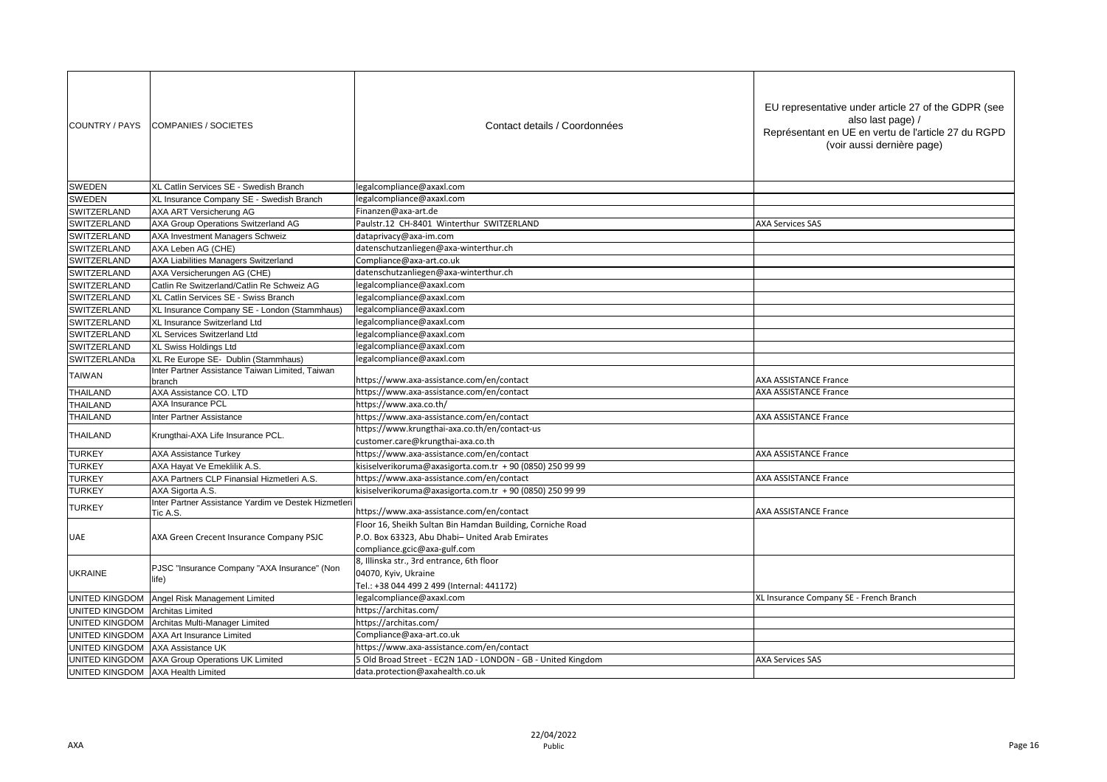| COUNTRY / PAYS        | COMPANIES / SOCIETES                                            | Contact details / Coordonnées                                | EU representative under article 27 of the GDPR (see<br>also last page) /<br>Représentant en UE en vertu de l'article 27 du RGPD<br>(voir aussi dernière page) |
|-----------------------|-----------------------------------------------------------------|--------------------------------------------------------------|---------------------------------------------------------------------------------------------------------------------------------------------------------------|
| <b>SWEDEN</b>         | XL Catlin Services SE - Swedish Branch                          | legalcompliance@axaxl.com                                    |                                                                                                                                                               |
| <b>SWEDEN</b>         | XL Insurance Company SE - Swedish Branch                        | legalcompliance@axaxl.com                                    |                                                                                                                                                               |
| SWITZERLAND           | AXA ART Versicherung AG                                         | Finanzen@axa-art.de                                          |                                                                                                                                                               |
| SWITZERLAND           | AXA Group Operations Switzerland AG                             | Paulstr.12 CH-8401 Winterthur SWITZERLAND                    | <b>AXA Services SAS</b>                                                                                                                                       |
| SWITZERLAND           | <b>AXA Investment Managers Schweiz</b>                          | dataprivacy@axa-im.com                                       |                                                                                                                                                               |
| SWITZERLAND           | AXA Leben AG (CHE)                                              | datenschutzanliegen@axa-winterthur.ch                        |                                                                                                                                                               |
| SWITZERLAND           | <b>AXA Liabilities Managers Switzerland</b>                     | Compliance@axa-art.co.uk                                     |                                                                                                                                                               |
| SWITZERLAND           | AXA Versicherungen AG (CHE)                                     | datenschutzanliegen@axa-winterthur.ch                        |                                                                                                                                                               |
| SWITZERLAND           | Catlin Re Switzerland/Catlin Re Schweiz AG                      | egalcompliance@axaxl.com                                     |                                                                                                                                                               |
| SWITZERLAND           | XL Catlin Services SE - Swiss Branch                            | legalcompliance@axaxl.com                                    |                                                                                                                                                               |
| SWITZERLAND           | XL Insurance Company SE - London (Stammhaus)                    | legalcompliance@axaxl.com                                    |                                                                                                                                                               |
| SWITZERLAND           | XL Insurance Switzerland Ltd                                    | legalcompliance@axaxl.com                                    |                                                                                                                                                               |
| SWITZERLAND           | XL Services Switzerland Ltd                                     | legalcompliance@axaxl.com                                    |                                                                                                                                                               |
| SWITZERLAND           | XL Swiss Holdings Ltd                                           | legalcompliance@axaxl.com                                    |                                                                                                                                                               |
| SWITZERLANDa          | XL Re Europe SE- Dublin (Stammhaus)                             | legalcompliance@axaxl.com                                    |                                                                                                                                                               |
| <b>TAIWAN</b>         | Inter Partner Assistance Taiwan Limited, Taiwan                 | https://www.axa-assistance.com/en/contact                    | AXA ASSISTANCE France                                                                                                                                         |
| <b>THAILAND</b>       | branch<br>AXA Assistance CO. LTD                                | https://www.axa-assistance.com/en/contact                    | <b>AXA ASSISTANCE France</b>                                                                                                                                  |
| <b>THAILAND</b>       | <b>AXA Insurance PCL</b>                                        | https://www.axa.co.th/                                       |                                                                                                                                                               |
| THAILAND              | Inter Partner Assistance                                        | https://www.axa-assistance.com/en/contact                    | <b>AXA ASSISTANCE France</b>                                                                                                                                  |
|                       | Krungthai-AXA Life Insurance PCL.                               | https://www.krungthai-axa.co.th/en/contact-us                |                                                                                                                                                               |
| <b>THAILAND</b>       |                                                                 | customer.care@krungthai-axa.co.th                            |                                                                                                                                                               |
| <b>TURKEY</b>         | <b>AXA Assistance Turkey</b>                                    | https://www.axa-assistance.com/en/contact                    | <b>AXA ASSISTANCE France</b>                                                                                                                                  |
| <b>TURKEY</b>         | AXA Hayat Ve Emeklilik A.S.                                     | kisiselverikoruma@axasigorta.com.tr + 90 (0850) 250 99 99    |                                                                                                                                                               |
| <b>TURKEY</b>         | AXA Partners CLP Finansial Hizmetleri A.S.                      | https://www.axa-assistance.com/en/contact                    | <b>AXA ASSISTANCE France</b>                                                                                                                                  |
| <b>TURKEY</b>         | AXA Sigorta A.S.                                                | kisiselverikoruma@axasigorta.com.tr + 90 (0850) 250 99 99    |                                                                                                                                                               |
| <b>TURKEY</b>         | Inter Partner Assistance Yardim ve Destek Hizmetler<br>Tic A.S. | https://www.axa-assistance.com/en/contact                    | <b>AXA ASSISTANCE France</b>                                                                                                                                  |
|                       |                                                                 | Floor 16, Sheikh Sultan Bin Hamdan Building, Corniche Road   |                                                                                                                                                               |
| UAE                   | AXA Green Crecent Insurance Company PSJC                        | P.O. Box 63323, Abu Dhabi- United Arab Emirates              |                                                                                                                                                               |
|                       |                                                                 | compliance.gcic@axa-gulf.com                                 |                                                                                                                                                               |
| <b>UKRAINE</b>        | PJSC "Insurance Company "AXA Insurance" (Non                    | 8, Illinska str., 3rd entrance, 6th floor                    |                                                                                                                                                               |
|                       | life)                                                           | 04070, Kyiv, Ukraine                                         |                                                                                                                                                               |
|                       |                                                                 | Tel.: +38 044 499 2 499 (Internal: 441172)                   |                                                                                                                                                               |
| <b>UNITED KINGDOM</b> | Angel Risk Management Limited                                   | legalcompliance@axaxl.com                                    | XL Insurance Company SE - French Branch                                                                                                                       |
| <b>UNITED KINGDOM</b> | <b>Architas Limited</b>                                         | https://architas.com/                                        |                                                                                                                                                               |
| <b>UNITED KINGDOM</b> | Architas Multi-Manager Limited                                  | https://architas.com/                                        |                                                                                                                                                               |
| <b>UNITED KINGDOM</b> | AXA Art Insurance Limited                                       | Compliance@axa-art.co.uk                                     |                                                                                                                                                               |
| UNITED KINGDOM        | AXA Assistance UK                                               | https://www.axa-assistance.com/en/contact                    |                                                                                                                                                               |
| <b>UNITED KINGDOM</b> | AXA Group Operations UK Limited                                 | 5 Old Broad Street - EC2N 1AD - LONDON - GB - United Kingdom | <b>AXA Services SAS</b>                                                                                                                                       |
| UNITED KINGDOM        | <b>AXA Health Limited</b>                                       | data.protection@axahealth.co.uk                              |                                                                                                                                                               |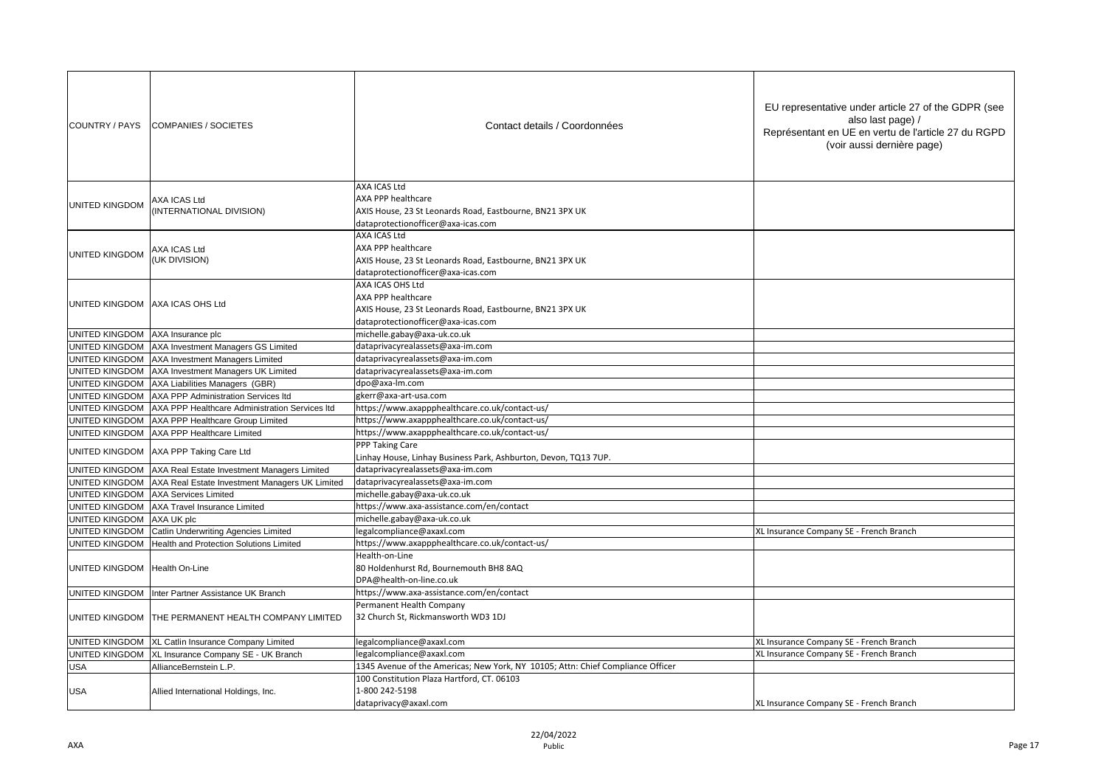| COUNTRY / PAYS                   | <b>COMPANIES / SOCIETES</b>                                   | Contact details / Coordonnées                                                                                                            | EU representative under article 27 of the GDPR (see<br>also last page) /<br>Représentant en UE en vertu de l'article 27 du RGPD<br>(voir aussi dernière page) |
|----------------------------------|---------------------------------------------------------------|------------------------------------------------------------------------------------------------------------------------------------------|---------------------------------------------------------------------------------------------------------------------------------------------------------------|
| <b>UNITED KINGDOM</b>            | AXA ICAS Ltd<br>(INTERNATIONAL DIVISION)                      | AXA ICAS Ltd<br>AXA PPP healthcare<br>AXIS House, 23 St Leonards Road, Eastbourne, BN21 3PX UK<br>dataprotectionofficer@axa-icas.com     |                                                                                                                                                               |
| UNITED KINGDOM                   | AXA ICAS Ltd<br>(UK DIVISION)                                 | AXA ICAS Ltd<br>AXA PPP healthcare<br>AXIS House, 23 St Leonards Road, Eastbourne, BN21 3PX UK<br>dataprotectionofficer@axa-icas.com     |                                                                                                                                                               |
| UNITED KINGDOM AXA ICAS OHS Ltd  |                                                               | AXA ICAS OHS Ltd<br>AXA PPP healthcare<br>AXIS House, 23 St Leonards Road, Eastbourne, BN21 3PX UK<br>dataprotectionofficer@axa-icas.com |                                                                                                                                                               |
| UNITED KINGDOM AXA Insurance plc |                                                               | michelle.gabay@axa-uk.co.uk                                                                                                              |                                                                                                                                                               |
|                                  | UNITED KINGDOM AXA Investment Managers GS Limited             | dataprivacyrealassets@axa-im.com                                                                                                         |                                                                                                                                                               |
|                                  | UNITED KINGDOM AXA Investment Managers Limited                | dataprivacyrealassets@axa-im.com                                                                                                         |                                                                                                                                                               |
|                                  | UNITED KINGDOM AXA Investment Managers UK Limited             | dataprivacyrealassets@axa-im.com                                                                                                         |                                                                                                                                                               |
|                                  | UNITED KINGDOM AXA Liabilities Managers (GBR)                 | dpo@axa-lm.com                                                                                                                           |                                                                                                                                                               |
|                                  | UNITED KINGDOM AXA PPP Administration Services Itd            | gkerr@axa-art-usa.com                                                                                                                    |                                                                                                                                                               |
|                                  | UNITED KINGDOM AXA PPP Healthcare Administration Services Itd | https://www.axappphealthcare.co.uk/contact-us/                                                                                           |                                                                                                                                                               |
|                                  | UNITED KINGDOM AXA PPP Healthcare Group Limited               | https://www.axappphealthcare.co.uk/contact-us/                                                                                           |                                                                                                                                                               |
| UNITED KINGDOM                   | AXA PPP Healthcare Limited                                    | https://www.axappphealthcare.co.uk/contact-us/                                                                                           |                                                                                                                                                               |
| UNITED KINGDOM                   | AXA PPP Taking Care Ltd                                       | PPP Taking Care                                                                                                                          |                                                                                                                                                               |
|                                  |                                                               | Linhay House, Linhay Business Park, Ashburton, Devon, TQ13 7UP.                                                                          |                                                                                                                                                               |
|                                  | UNITED KINGDOM AXA Real Estate Investment Managers Limited    | dataprivacyrealassets@axa-im.com                                                                                                         |                                                                                                                                                               |
|                                  | UNITED KINGDOM AXA Real Estate Investment Managers UK Limited | dataprivacyrealassets@axa-im.com                                                                                                         |                                                                                                                                                               |
| UNITED KINGDOM                   | <b>AXA Services Limited</b>                                   | michelle.gabay@axa-uk.co.uk                                                                                                              |                                                                                                                                                               |
|                                  | UNITED KINGDOM AXA Travel Insurance Limited                   | https://www.axa-assistance.com/en/contact                                                                                                |                                                                                                                                                               |
| UNITED KINGDOM                   | AXA UK plc                                                    | michelle.gabay@axa-uk.co.uk                                                                                                              |                                                                                                                                                               |
|                                  | UNITED KINGDOM Catlin Underwriting Agencies Limited           | egalcompliance@axaxl.com                                                                                                                 | XL Insurance Company SE - French Branch                                                                                                                       |
| UNITED KINGDOM                   | Health and Protection Solutions Limited                       | https://www.axappphealthcare.co.uk/contact-us/                                                                                           |                                                                                                                                                               |
| UNITED KINGDOM Health On-Line    |                                                               | Health-on-Line<br>80 Holdenhurst Rd, Bournemouth BH8 8AQ<br>DPA@health-on-line.co.uk                                                     |                                                                                                                                                               |
| UNITED KINGDOM                   | Inter Partner Assistance UK Branch                            | https://www.axa-assistance.com/en/contact                                                                                                |                                                                                                                                                               |
|                                  | UNITED KINGDOM THE PERMANENT HEALTH COMPANY LIMITED           | Permanent Health Company<br>32 Church St, Rickmansworth WD3 1DJ                                                                          |                                                                                                                                                               |
|                                  | UNITED KINGDOM   XL Catlin Insurance Company Limited          | legalcompliance@axaxl.com                                                                                                                | XL Insurance Company SE - French Branch                                                                                                                       |
| UNITED KINGDOM                   | XL Insurance Company SE - UK Branch                           | egalcompliance@axaxl.com                                                                                                                 | XL Insurance Company SE - French Branch                                                                                                                       |
| <b>USA</b>                       | AllianceBernstein L.P.                                        | 1345 Avenue of the Americas; New York, NY 10105; Attn: Chief Compliance Officer                                                          |                                                                                                                                                               |
| <b>USA</b>                       | Allied International Holdings, Inc.                           | 100 Constitution Plaza Hartford, CT. 06103<br>1-800 242-5198                                                                             |                                                                                                                                                               |
|                                  |                                                               | dataprivacy@axaxl.com                                                                                                                    | XL Insurance Company SE - French Branch                                                                                                                       |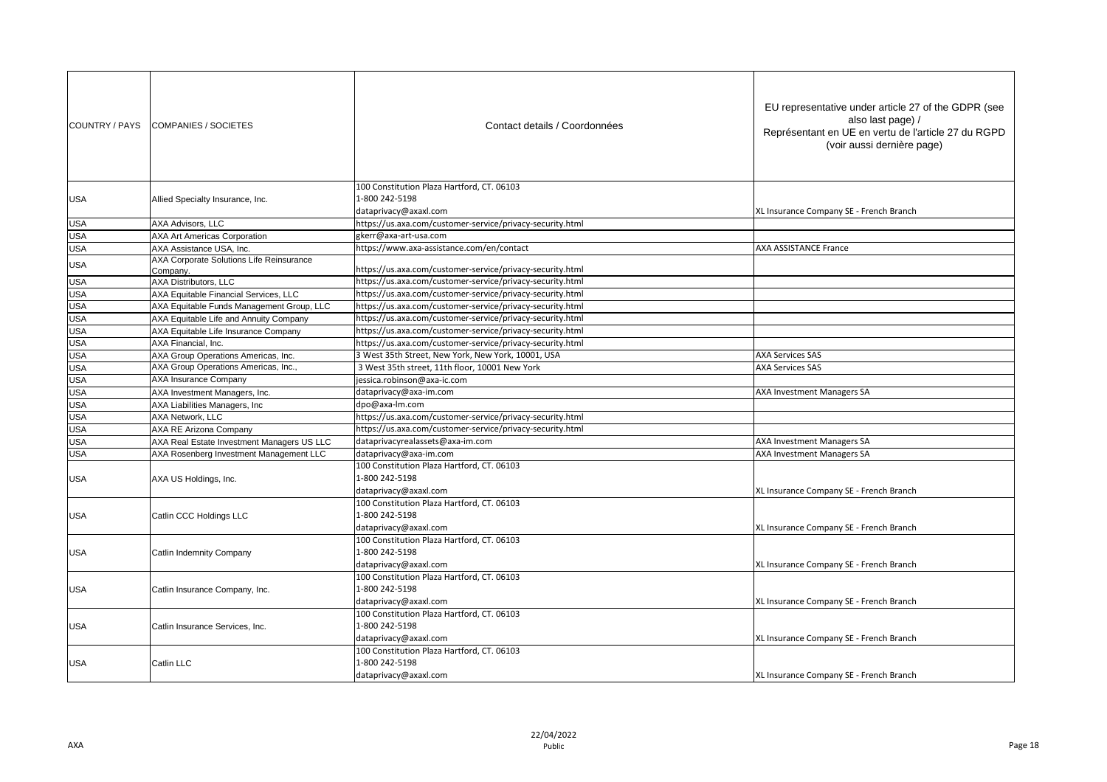| COUNTRY / PAYS | COMPANIES / SOCIETES                       | Contact details / Coordonnées                                                         | EU representative under article 27 of the GDPR (see<br>also last page) /<br>Représentant en UE en vertu de l'article 27 du RGPD<br>(voir aussi dernière page) |
|----------------|--------------------------------------------|---------------------------------------------------------------------------------------|---------------------------------------------------------------------------------------------------------------------------------------------------------------|
| USA            | Allied Specialty Insurance, Inc.           | 100 Constitution Plaza Hartford, CT. 06103<br>1-800 242-5198<br>dataprivacy@axaxl.com | XL Insurance Company SE - French Branch                                                                                                                       |
| USA            | AXA Advisors, LLC                          | https://us.axa.com/customer-service/privacy-security.html                             |                                                                                                                                                               |
| <b>USA</b>     | <b>AXA Art Americas Corporation</b>        | gkerr@axa-art-usa.com                                                                 |                                                                                                                                                               |
| <b>USA</b>     | AXA Assistance USA, Inc.                   | https://www.axa-assistance.com/en/contact                                             | <b>AXA ASSISTANCE France</b>                                                                                                                                  |
| USA            | AXA Corporate Solutions Life Reinsurance   |                                                                                       |                                                                                                                                                               |
|                | Company.                                   | https://us.axa.com/customer-service/privacy-security.html                             |                                                                                                                                                               |
| <b>USA</b>     | AXA Distributors, LLC                      | https://us.axa.com/customer-service/privacy-security.html                             |                                                                                                                                                               |
| <b>USA</b>     | AXA Equitable Financial Services, LLC      | https://us.axa.com/customer-service/privacy-security.html                             |                                                                                                                                                               |
| <b>USA</b>     | AXA Equitable Funds Management Group, LLC  | https://us.axa.com/customer-service/privacy-security.html                             |                                                                                                                                                               |
| <b>USA</b>     | AXA Equitable Life and Annuity Company     | https://us.axa.com/customer-service/privacy-security.html                             |                                                                                                                                                               |
| <b>USA</b>     | AXA Equitable Life Insurance Company       | https://us.axa.com/customer-service/privacy-security.html                             |                                                                                                                                                               |
| <b>USA</b>     | AXA Financial. Inc.                        | https://us.axa.com/customer-service/privacy-security.html                             |                                                                                                                                                               |
| <b>USA</b>     | AXA Group Operations Americas, Inc.        | 3 West 35th Street, New York, New York, 10001, USA                                    | <b>AXA Services SAS</b>                                                                                                                                       |
| <b>USA</b>     | AXA Group Operations Americas, Inc.,       | 3 West 35th street, 11th floor, 10001 New York                                        | <b>AXA Services SAS</b>                                                                                                                                       |
| <b>USA</b>     | AXA Insurance Company                      | jessica.robinson@axa-ic.com                                                           |                                                                                                                                                               |
| <b>USA</b>     | AXA Investment Managers, Inc.              | dataprivacy@axa-im.com                                                                | AXA Investment Managers SA                                                                                                                                    |
| <b>USA</b>     | AXA Liabilities Managers, Inc              | dpo@axa-lm.com                                                                        |                                                                                                                                                               |
| <b>USA</b>     | AXA Network, LLC                           | https://us.axa.com/customer-service/privacy-security.html                             |                                                                                                                                                               |
| <b>USA</b>     | AXA RE Arizona Company                     | https://us.axa.com/customer-service/privacy-security.html                             |                                                                                                                                                               |
| <b>USA</b>     | AXA Real Estate Investment Managers US LLC | dataprivacyrealassets@axa-im.com                                                      | AXA Investment Managers SA                                                                                                                                    |
| <b>USA</b>     | AXA Rosenberg Investment Management LLC    | dataprivacy@axa-im.com                                                                | AXA Investment Managers SA                                                                                                                                    |
| USA            | AXA US Holdings, Inc.                      | 100 Constitution Plaza Hartford, CT. 06103<br>1-800 242-5198<br>dataprivacy@axaxl.com | XL Insurance Company SE - French Branch                                                                                                                       |
| USA            | Catlin CCC Holdings LLC                    | 100 Constitution Plaza Hartford, CT. 06103<br>1-800 242-5198<br>dataprivacy@axaxl.com | XL Insurance Company SE - French Branch                                                                                                                       |
| USA            | Catlin Indemnity Company                   | 100 Constitution Plaza Hartford, CT. 06103<br>1-800 242-5198<br>dataprivacy@axaxl.com | XL Insurance Company SE - French Branch                                                                                                                       |
| USA            | Catlin Insurance Company, Inc.             | 100 Constitution Plaza Hartford, CT. 06103<br>1-800 242-5198<br>dataprivacy@axaxl.com | XL Insurance Company SE - French Branch                                                                                                                       |
| USA            | Catlin Insurance Services, Inc.            | 100 Constitution Plaza Hartford, CT. 06103<br>1-800 242-5198<br>dataprivacy@axaxl.com | XL Insurance Company SE - French Branch                                                                                                                       |
| <b>USA</b>     | Catlin LLC                                 | 100 Constitution Plaza Hartford, CT. 06103<br>1-800 242-5198<br>dataprivacy@axaxl.com | XL Insurance Company SE - French Branch                                                                                                                       |
|                |                                            |                                                                                       |                                                                                                                                                               |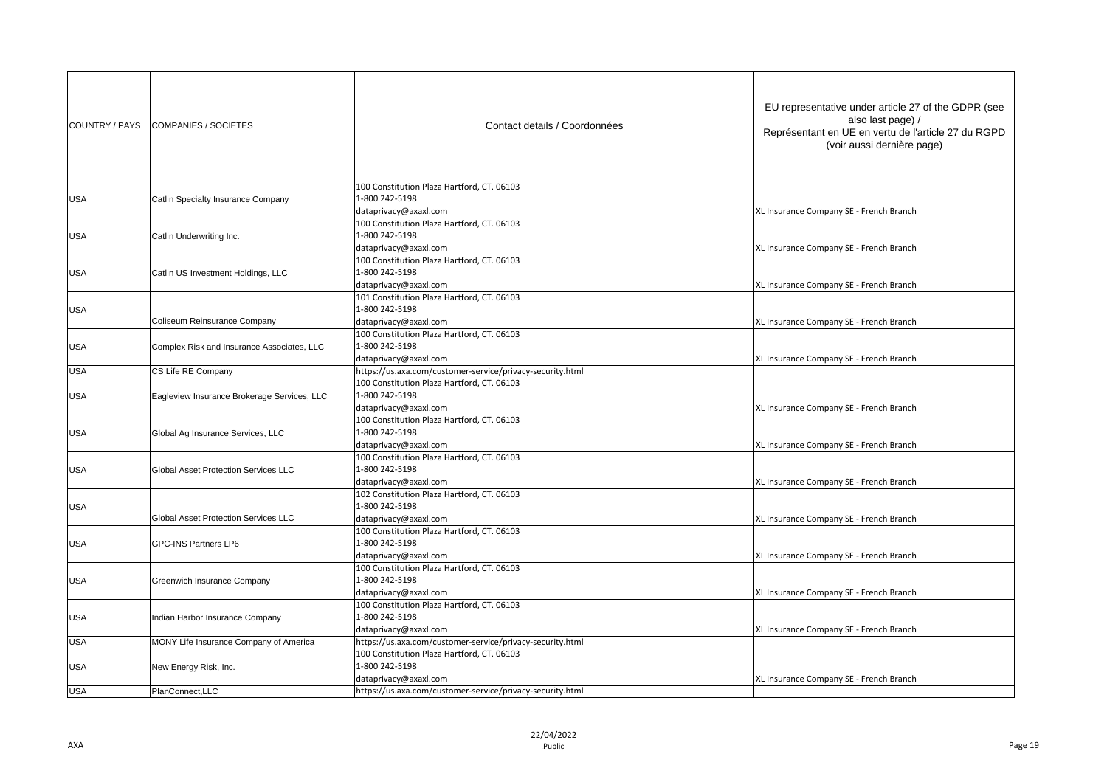| COUNTRY / PAYS | COMPANIES / SOCIETES                        | Contact details / Coordonnées                                                         | EU representative under article 27 of the GDPR (see<br>also last page) /<br>Représentant en UE en vertu de l'article 27 du RGPD<br>(voir aussi dernière page) |
|----------------|---------------------------------------------|---------------------------------------------------------------------------------------|---------------------------------------------------------------------------------------------------------------------------------------------------------------|
| <b>USA</b>     | Catlin Specialty Insurance Company          | 100 Constitution Plaza Hartford, CT. 06103<br>1-800 242-5198<br>dataprivacy@axaxl.com | XL Insurance Company SE - French Branch                                                                                                                       |
| USA            | Catlin Underwriting Inc.                    | 100 Constitution Plaza Hartford, CT. 06103<br>1-800 242-5198<br>dataprivacy@axaxl.com | XL Insurance Company SE - French Branch                                                                                                                       |
| <b>USA</b>     | Catlin US Investment Holdings, LLC          | 100 Constitution Plaza Hartford, CT. 06103<br>1-800 242-5198<br>dataprivacy@axaxl.com | XL Insurance Company SE - French Branch                                                                                                                       |
| <b>USA</b>     | <b>Coliseum Reinsurance Company</b>         | 101 Constitution Plaza Hartford, CT. 06103<br>1-800 242-5198<br>dataprivacy@axaxl.com | XL Insurance Company SE - French Branch                                                                                                                       |
| USA            | Complex Risk and Insurance Associates, LLC  | 100 Constitution Plaza Hartford, CT. 06103<br>1-800 242-5198<br>dataprivacy@axaxl.com | XL Insurance Company SE - French Branch                                                                                                                       |
| <b>USA</b>     | CS Life RE Company                          | https://us.axa.com/customer-service/privacy-security.html                             |                                                                                                                                                               |
| USA            | Eagleview Insurance Brokerage Services, LLC | 100 Constitution Plaza Hartford, CT. 06103<br>1-800 242-5198<br>dataprivacy@axaxl.com | XL Insurance Company SE - French Branch                                                                                                                       |
| <b>USA</b>     | Global Ag Insurance Services, LLC           | 100 Constitution Plaza Hartford, CT. 06103<br>1-800 242-5198<br>dataprivacy@axaxl.com | XL Insurance Company SE - French Branch                                                                                                                       |
| USA            | <b>Global Asset Protection Services LLC</b> | 100 Constitution Plaza Hartford, CT. 06103<br>1-800 242-5198<br>dataprivacy@axaxl.com | XL Insurance Company SE - French Branch                                                                                                                       |
| <b>USA</b>     | <b>Global Asset Protection Services LLC</b> | 102 Constitution Plaza Hartford, CT. 06103<br>1-800 242-5198<br>dataprivacy@axaxl.com | XL Insurance Company SE - French Branch                                                                                                                       |
| USA            | <b>GPC-INS Partners LP6</b>                 | 100 Constitution Plaza Hartford, CT. 06103<br>1-800 242-5198<br>dataprivacy@axaxl.com | XL Insurance Company SE - French Branch                                                                                                                       |
| USA            | Greenwich Insurance Company                 | 100 Constitution Plaza Hartford, CT. 06103<br>1-800 242-5198<br>dataprivacy@axaxl.com | XL Insurance Company SE - French Branch                                                                                                                       |
| USA            | Indian Harbor Insurance Company             | 100 Constitution Plaza Hartford, CT. 06103<br>1-800 242-5198<br>dataprivacy@axaxl.com | XL Insurance Company SE - French Branch                                                                                                                       |
| USA            | MONY Life Insurance Company of America      | https://us.axa.com/customer-service/privacy-security.html                             |                                                                                                                                                               |
| USA            | New Energy Risk, Inc.                       | 100 Constitution Plaza Hartford, CT. 06103<br>1-800 242-5198<br>dataprivacy@axaxl.com | XL Insurance Company SE - French Branch                                                                                                                       |
| <b>USA</b>     | PlanConnect, LLC                            | https://us.axa.com/customer-service/privacy-security.html                             |                                                                                                                                                               |
|                |                                             |                                                                                       |                                                                                                                                                               |